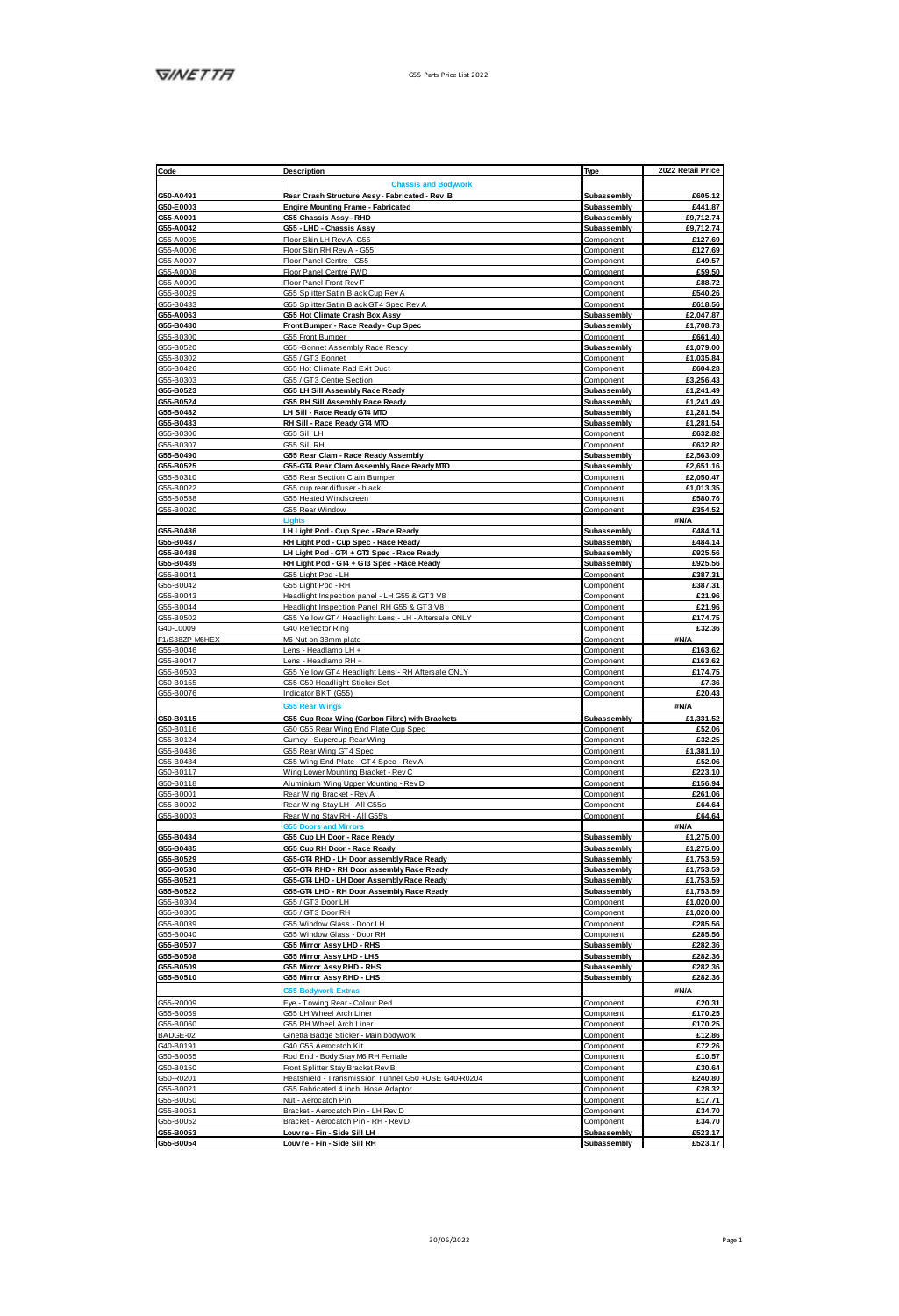| Code                                                                                                | Description                                                | Type                       | 2022 Retail Price  |
|-----------------------------------------------------------------------------------------------------|------------------------------------------------------------|----------------------------|--------------------|
|                                                                                                     | <b>Chassis and Bo</b>                                      |                            |                    |
|                                                                                                     | Rear Crash Structure Assy - Fabricated - Rey B             |                            | £605.12            |
| G50-A0491                                                                                           |                                                            | Subassembly                |                    |
| G50-E0003                                                                                           | Engine Mounting Frame - Fabricated                         | Subassembly                | £441.87            |
| G55-A0001                                                                                           | G55 Chassis Assy - RHD                                     | Subassembly                | £9,712.74          |
|                                                                                                     | G55 - LHD - Chassis Assy                                   | Subassembly                | £9.712.74          |
|                                                                                                     | Floor Skin LH Ray A. OSS                                   | Component                  | £127.69            |
|                                                                                                     | Floor Skin RH Rev A - G55                                  | Component                  | £127.69            |
| 055-A0001<br>055-A0042<br>055-A0005<br>055-A0008<br>055-A0008<br>055-A0008<br>055-B0029             | Floor Panel Centre - G55                                   | Component                  | £49.57             |
|                                                                                                     | Floor Panel Centre FWD                                     | Component                  | £59.50             |
|                                                                                                     | Floor Panel Front Rev F                                    | Component                  |                    |
|                                                                                                     |                                                            | Component                  | £88.72<br>£540.26  |
|                                                                                                     | G55 Splitter Satin Black Cup Rev A                         |                            |                    |
| G55-B0433<br>G55-A0063                                                                              | G55 Splitter Satin Black GT4 Spec Rev A                    | Component                  | £618.56            |
|                                                                                                     | G55 Hot Climate Crash Box Assy                             | <b>Subassembly</b>         | £2,047.87          |
| 055-80480<br>055-80300<br>055-80300<br>055-80302<br>055-80302                                       | Front Bumper - Race Ready - Cup Spec                       | Subassembly                | £1,708.73          |
|                                                                                                     | GSS Front Bumper                                           | Component                  | £661.40            |
|                                                                                                     | G55 -Bonnet Assembly Race Ready                            | Subassembly                | £1.079.00          |
|                                                                                                     | GSS / GT3 Bonnet                                           | Component                  | £1,035.84          |
| G55-B0426                                                                                           | GSS Hot Climate Rad Exit Duct                              | Component                  | £604.28            |
|                                                                                                     | GS5 / GT3 Centre Section                                   |                            |                    |
|                                                                                                     |                                                            | Component                  | £3,256.43          |
| GSS-B0303<br>GSS-B0303                                                                              | <b>G55 LH Sill Assembly Race Ready</b>                     | Subassembly                | £1,241.49          |
| G55-B0524                                                                                           | G55 RH Sill Assembly Race Ready                            | Subassembly                | £1,241.49          |
| G55-B0482                                                                                           | LH Sill - Race Ready GT4 MTO                               | Subassembly                | £1,281.54          |
|                                                                                                     | RH Sill - Race Ready GT4 MTO                               | Subassembly                | £1.281.54          |
| 055-80483                                                                                           | GSS SIII LH                                                | Component                  | £632.82            |
| G55-B0307                                                                                           | GSS Sill RH                                                | Component                  | £632.82            |
| G55-B0490                                                                                           | G55 Rear Clam - Race Ready Assembly                        | Subassembly                | £2,563.09          |
|                                                                                                     |                                                            |                            |                    |
| G55-B0525                                                                                           | 055-GT4 Rear Clam Assembly Race Ready MTO                  | Subassembly                | £2,651.16          |
| G55-B0310                                                                                           | G55 Rear Section Clam Bumper                               | Component                  | £2,050.47          |
|                                                                                                     | GSS cup rear diffuser - black                              | Component                  | £1.013.35          |
| GSS-B0022<br>GSS-B0022<br>GSS-B0020                                                                 | GSS Heated Windsneen                                       | Component                  | <b>£580.76</b>     |
|                                                                                                     | GSS Rear Window                                            | Component                  | £354.52            |
|                                                                                                     |                                                            |                            | #N/A               |
| 055-B0486<br>055-B0487                                                                              | LH Light Pod - Cup Spac - Race Ready                       | Subassembly                | <b>FARA 14</b>     |
|                                                                                                     | RH Light Pod - Cup Spec - Race Ready                       | Subassembly                | <b>FARA 14</b>     |
|                                                                                                     |                                                            |                            |                    |
| G55-B0488                                                                                           | LH Light Pod - GT4 + GT3 Spec - Race Ready                 | <b>Subassembly</b>         | £925.56            |
|                                                                                                     | RH Light Pod - GT4 + GT3 Spec - Race Ready                 | Subassembly                | £925.56            |
|                                                                                                     | GSS Light Pod - LH                                         | Component                  | 6387.31            |
|                                                                                                     | GSS Light Pod - RH                                         | Component                  | £387.31            |
|                                                                                                     | Headlight Inspection panel - LH G55 & GT3 V8               | Component                  | £21.96             |
|                                                                                                     | Headlight Inspection Panel RH G55 & GT3 V8                 | Component                  | £21.96             |
| 055-B0488<br>055-B0489<br>055-B0041<br>055-B0043<br>055-B0043<br>055-B0044<br>055-B00602            | G55 Yellow GT4 Headight Lens - LH - Aftersale CNLY         | Component                  | £174.75            |
| G40-L0009                                                                                           | G40 Reflector Ring                                         | Component                  | £32.36             |
|                                                                                                     | M6 Nut on 38mm plate                                       |                            | #N/A               |
|                                                                                                     |                                                            | Component                  |                    |
| F1/S382P-M6HEX<br>G55-B0046<br>G55-B0047                                                            | Lens - Headlamp LH +                                       | Component                  | £163.62            |
|                                                                                                     | Lens - Headlamp RH +                                       | Component                  | £163.62            |
| GSS-80503<br>GSS-80503<br>GSS-80076                                                                 | G55 Yellow GT4 Headlight Lens - RH Aftersale CNLY          | Component                  | £174.75            |
|                                                                                                     | G55 G50 Headlight Sticker Set                              | Component                  | 67.38              |
|                                                                                                     | Indicator BKT (G55)                                        | Component                  | £20.43             |
|                                                                                                     | 355 Rear Wings                                             |                            | #N/A               |
|                                                                                                     |                                                            |                            |                    |
|                                                                                                     |                                                            |                            |                    |
|                                                                                                     | G55 Cup Rear Wing (Carbon Fibre) with Brackets             | Subassembly                | £1.331.52          |
|                                                                                                     | G50 G55 Rear Wing End Plate Cup Spec                       | Component                  | £52.06             |
| 050-B0115<br>G50-B0116<br>G55-B0124                                                                 | Gurney - Supercup Rear Wing                                | Component                  | £32.25             |
|                                                                                                     | GSS Rear Wing GT4 Spec                                     | Component                  | £1.381.10          |
|                                                                                                     |                                                            | Component                  | £52.06             |
|                                                                                                     | GSS Wing End Plate - GT4 Spec - Rev A                      |                            |                    |
|                                                                                                     | Wing Lower Mounting Bracket - Rev C                        | Component                  | £223.10            |
| G55-80124<br>G55-80436<br>G55-80434<br>G50-80117                                                    | Aluminium Wing Upper Mounting - Rev D                      | Component                  | £156.94            |
| G55-B0001                                                                                           | Rear Wing Bracket - Rev A                                  | Component                  | £261.06            |
| GSS-B0002                                                                                           | Rear Wing Stay LH - All G55's                              | Component                  | £64.64             |
| G55-B0003                                                                                           | Rear Wing Stay RH - All G55's                              | Component                  | £64.64             |
|                                                                                                     | 355 Doors and Mirr                                         |                            | #N/A               |
|                                                                                                     | G55 Cup LH Door - Race Ready                               | Subassembly                | £1,275.00          |
|                                                                                                     | G55 Cup RH Door - Race Ready                               | Subassembly                | £1,275.00          |
|                                                                                                     | 055-GT4 RHD - LH Door assembly Race Ready                  | Subassembly                | £1,753.59          |
| 055-80484<br>055-80485<br>055-80529                                                                 | 055-GT4 RHD - RH Door assembly Race Ready                  | Subassembly                | £1,753.59          |
| G55-B0530                                                                                           |                                                            |                            |                    |
| G55-B0521                                                                                           | 055-GT4 LHD - LH Door Assembly Race Ready                  | Subassembly                | £1,753.59          |
| G55-B0522                                                                                           | 055-GT4 LHD - RH Door Assembly Race Ready                  | Subassembly                | £1,753.59          |
|                                                                                                     | G65 / GT3 Door LH                                          | Component                  | £1,020.00          |
|                                                                                                     | GSS / GT3 Door RH                                          | Component                  | £1,020.00          |
|                                                                                                     | GSS Window Glass - Door LH                                 | Component                  | £285.56            |
|                                                                                                     | GSS Window Glass - Door RH                                 | Component                  | <b>F285 56</b>     |
|                                                                                                     | <b>G55 Mirror AssyLHD - RHS</b>                            | Subassembly                | £282.36            |
| 055-80522<br>055-80304<br>055-80305<br>055-80039<br>055-80507<br>055-80507                          |                                                            |                            |                    |
|                                                                                                     | G55 Mirror Assy LHD - LHS                                  | Subassembly                | £282.36            |
| 055-B0508<br>055-B0509                                                                              | GSS Mirror Assy RHD - RHS                                  | Subassembly                | £282.36            |
| G55-B0510                                                                                           | G55 Mirror Assy RHD - LHS                                  | Subassembly                | £282.36            |
|                                                                                                     | nek Evtras                                                 |                            | <b>SNA</b>         |
|                                                                                                     | Eye - Towing Rear - Colour Red                             | Component                  | £20.31             |
|                                                                                                     | GSS I H Wheel Arch Liner                                   | Component                  | £170.25            |
|                                                                                                     | GSS RH Wheel Arch Liner                                    |                            | £170.25            |
| G55-R0009<br>G55-B0059<br>G55-B0060                                                                 |                                                            | Component                  |                    |
| BADGE-02                                                                                            | Ginetta Badge Sticker - Main bodywork                      | Component                  | £12.86             |
|                                                                                                     | G40 G55 Aerocatch Kit                                      | Component                  | £72.26             |
|                                                                                                     | Rod End - Body Stay M6 RH Female                           | Component                  | £10.57             |
|                                                                                                     | Front Splitter Stay Bracket Rev B                          | Component                  | £30.64             |
|                                                                                                     | Heatshield - Transmission Tunnel G50 +USE G40-R0204        | Component                  | £240.80            |
|                                                                                                     | GSS Fabricated 4 inch Hose Adaptor                         | Component                  | £28.32             |
|                                                                                                     |                                                            | Component                  |                    |
|                                                                                                     | Nut - Aerocatch Pin.                                       | Component                  | £17.71             |
|                                                                                                     | Bracket - Aerocatch Pin - LH Rev D                         |                            | £34.70             |
| 8ADGE-02<br>040-80191<br>050-80150<br>050-80150<br>055-80021<br>055-80051<br>055-80051<br>055-80051 | Bracket - Aerocatch Pin - RH - Rev D                       | Component                  | £34.70             |
| G55-B0053<br>G55-B0054                                                                              | Louvre - Fin - Side Sill LH<br>Louvre - Fin - Side Sill RH | Subassembly<br>Subassembly | £523.17<br>£523.17 |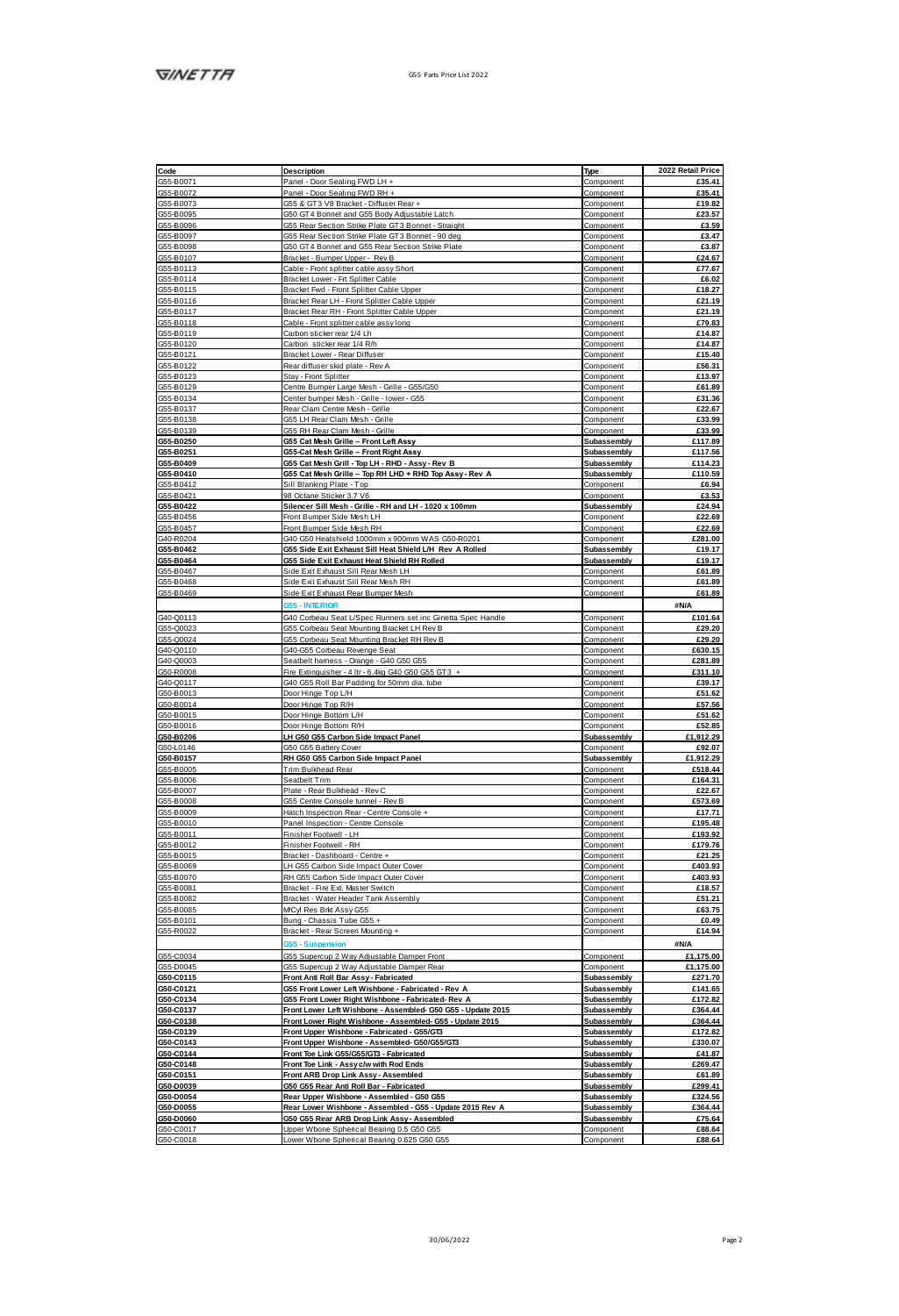| G55-B0071<br>G55-B0072<br>GSS-B0073                                                                                                                                                                                                                                                                                                                                                                                                                                                                        | Panel - Door Sealing FWD LH +                                                            |                          |                                |
|------------------------------------------------------------------------------------------------------------------------------------------------------------------------------------------------------------------------------------------------------------------------------------------------------------------------------------------------------------------------------------------------------------------------------------------------------------------------------------------------------------|------------------------------------------------------------------------------------------|--------------------------|--------------------------------|
|                                                                                                                                                                                                                                                                                                                                                                                                                                                                                                            |                                                                                          | Component                | £35.41                         |
|                                                                                                                                                                                                                                                                                                                                                                                                                                                                                                            | Panel - Door Sealing FWD RH +                                                            | Component                | £35.41                         |
|                                                                                                                                                                                                                                                                                                                                                                                                                                                                                                            | G55 & GT 3 V8 Bracket - Diffuser Rear +                                                  | Component                | £19.82                         |
| G55-B0095                                                                                                                                                                                                                                                                                                                                                                                                                                                                                                  | GS0 GT4 Bonnet and GSS Body Adjustable Latch                                             | Component                | 623.57                         |
|                                                                                                                                                                                                                                                                                                                                                                                                                                                                                                            |                                                                                          |                          |                                |
| G55-B0096                                                                                                                                                                                                                                                                                                                                                                                                                                                                                                  | G55 Rear Section Strike Plate GT3 Bonnet - Straight                                      | Component                | £3.59                          |
| G55-B0097<br>G55-B0097<br>G55-B0098                                                                                                                                                                                                                                                                                                                                                                                                                                                                        | G55 Rear Section Strike Plate GT3 Bonnet - 90 deg                                        | Component                | £3.47                          |
|                                                                                                                                                                                                                                                                                                                                                                                                                                                                                                            | GS0 GT4 Bonnet and GSS Rear Section Strike Plate                                         | Component                | 63.87                          |
|                                                                                                                                                                                                                                                                                                                                                                                                                                                                                                            | Bracket - Bumper Upper - Rev B                                                           | Component                | £24.67                         |
| GS5-B0113                                                                                                                                                                                                                                                                                                                                                                                                                                                                                                  |                                                                                          |                          |                                |
|                                                                                                                                                                                                                                                                                                                                                                                                                                                                                                            | Cable - Front solitter cable assy Short                                                  | Component                | £77.67                         |
| G55-B0114                                                                                                                                                                                                                                                                                                                                                                                                                                                                                                  | Bracket Lower - Fit Solitter Cable                                                       | Component                | £6.02                          |
| GSS-B0115                                                                                                                                                                                                                                                                                                                                                                                                                                                                                                  | Bracket Fwd - Front Solitter Cable Upper                                                 | Component                | £18.27                         |
| G55-B0116                                                                                                                                                                                                                                                                                                                                                                                                                                                                                                  | Bracket Rear LH - Front Splitter Cable Upper                                             | Component                | £21.19                         |
| G55-B0117                                                                                                                                                                                                                                                                                                                                                                                                                                                                                                  | Bracket Rear RH - Front Splitter Cable Upper                                             | Component                | £21.19                         |
|                                                                                                                                                                                                                                                                                                                                                                                                                                                                                                            |                                                                                          |                          |                                |
| G55-B0118                                                                                                                                                                                                                                                                                                                                                                                                                                                                                                  | Cable - Front solitter cable assy long                                                   | Component                | 679.83                         |
| G55-B0119                                                                                                                                                                                                                                                                                                                                                                                                                                                                                                  | Carbon sticker rear 1/4 Lh                                                               | Component                | £14.87                         |
| G55-B0120<br>G55-B0121                                                                                                                                                                                                                                                                                                                                                                                                                                                                                     | Carbon sticker mar 1/4 R/h                                                               | Component                | £14.87                         |
|                                                                                                                                                                                                                                                                                                                                                                                                                                                                                                            | Bracket Lower - Rear Diffuser                                                            |                          | £15.40                         |
|                                                                                                                                                                                                                                                                                                                                                                                                                                                                                                            |                                                                                          | Component                |                                |
| G55-B0122                                                                                                                                                                                                                                                                                                                                                                                                                                                                                                  | Rear diffuser skid plate - Rev A                                                         | Component                | <b>P56.31</b>                  |
| GS5-B0123                                                                                                                                                                                                                                                                                                                                                                                                                                                                                                  | Stay - Front Splitter                                                                    | Component                | £13.97                         |
| G55-B0129                                                                                                                                                                                                                                                                                                                                                                                                                                                                                                  | Centre Burnper Large Mesh - Grille - G55/G50                                             | Component                | £61.89                         |
| G55-B0134                                                                                                                                                                                                                                                                                                                                                                                                                                                                                                  |                                                                                          |                          |                                |
|                                                                                                                                                                                                                                                                                                                                                                                                                                                                                                            | Center bumper Mesh - Grille - Iower - G55                                                | Component                | £31.36                         |
| G55-B0137                                                                                                                                                                                                                                                                                                                                                                                                                                                                                                  | Rear Clam Centre Mesh - Grille                                                           | Component                | £22.67                         |
| G55-B0138                                                                                                                                                                                                                                                                                                                                                                                                                                                                                                  | GSS LH Rear Clam Mesh - Grille                                                           | Component                | £33.99                         |
| GSS-B0139                                                                                                                                                                                                                                                                                                                                                                                                                                                                                                  | GSS RH Rear Clam Mesh - Grille                                                           | Component                | £33.99                         |
| G55-B0250                                                                                                                                                                                                                                                                                                                                                                                                                                                                                                  |                                                                                          | Subassembly              | #117.89                        |
|                                                                                                                                                                                                                                                                                                                                                                                                                                                                                                            | G55 Cat Mesh Grille - Front Left Assy                                                    |                          |                                |
| G55-B0251                                                                                                                                                                                                                                                                                                                                                                                                                                                                                                  | G55-Cat Mesh Grille - Front Right Assy                                                   | Subassembly              | £117.56                        |
| G55-B0409                                                                                                                                                                                                                                                                                                                                                                                                                                                                                                  | G55 Cat Mesh Grill - Top LH - RHD - Assy - Rev B                                         | Subassembly              | £114.23                        |
| G55-B0410                                                                                                                                                                                                                                                                                                                                                                                                                                                                                                  | G55 Cat Mash Grille - Top RH LHD + RHD Top Assy - Rev A                                  | Subassembly              | £110.59                        |
| G55-B0412                                                                                                                                                                                                                                                                                                                                                                                                                                                                                                  |                                                                                          |                          | £6.94                          |
|                                                                                                                                                                                                                                                                                                                                                                                                                                                                                                            | Sill Blanking Plate - Top                                                                | Component                |                                |
| G55-B0421                                                                                                                                                                                                                                                                                                                                                                                                                                                                                                  | 98 Octane Sticker 3.7 V6                                                                 | Component                | £3.53                          |
| G55-B0422                                                                                                                                                                                                                                                                                                                                                                                                                                                                                                  | Silencer Sill Mesh - Grille - RH and LH - 1020 x 100mm                                   | Subassembly              | £24.94                         |
| GSS-ROASS                                                                                                                                                                                                                                                                                                                                                                                                                                                                                                  | Front Burnper Side Mesh LH                                                               | Component                | <b>£22.69</b>                  |
| GS5-B0457                                                                                                                                                                                                                                                                                                                                                                                                                                                                                                  |                                                                                          |                          |                                |
|                                                                                                                                                                                                                                                                                                                                                                                                                                                                                                            | Front Burnper Side Mesh RH                                                               | Component                | £22.69                         |
| G40-R0204                                                                                                                                                                                                                                                                                                                                                                                                                                                                                                  | G40 G50 Heatshield 1000mm x 900mm WAS G50-R0201                                          | Component                | £281.00                        |
| G55-B0462                                                                                                                                                                                                                                                                                                                                                                                                                                                                                                  | G55 Side Exit Exhaust Sill Heat Shield L/H Rev A Rolled                                  | <b>Subassembly</b>       | £19.17                         |
| 055-B0464                                                                                                                                                                                                                                                                                                                                                                                                                                                                                                  | G55 Side Exit Exhaust Heat Shield RH Rolled                                              | Subassembly              | £19.17                         |
| GSS-B0467                                                                                                                                                                                                                                                                                                                                                                                                                                                                                                  | Side Exit Exhaust Sill Rear Mesh LH                                                      |                          | £61.89                         |
|                                                                                                                                                                                                                                                                                                                                                                                                                                                                                                            |                                                                                          | Component                |                                |
| G55-B0468                                                                                                                                                                                                                                                                                                                                                                                                                                                                                                  | Side Exit Exhaust Sill Rear Mesh RH                                                      | Component                | £61.89                         |
| GSS-B0469                                                                                                                                                                                                                                                                                                                                                                                                                                                                                                  | Side Exit Exhaust Rear Burroer Mesh                                                      | Component                | £61.89                         |
|                                                                                                                                                                                                                                                                                                                                                                                                                                                                                                            | <b>GSS - INTERIOR</b>                                                                    |                          | AN/A                           |
|                                                                                                                                                                                                                                                                                                                                                                                                                                                                                                            |                                                                                          |                          |                                |
| G40-Q0113<br>G55-Q0023                                                                                                                                                                                                                                                                                                                                                                                                                                                                                     | G40 Corbeau Seat L/Spec Runners set inc Ginetta Spec Handle                              | Component                | £101.64                        |
|                                                                                                                                                                                                                                                                                                                                                                                                                                                                                                            | GSS Corbeau Seat Muntion Rearlet I H Rev R                                               | Component                | 629.20                         |
| G55-Q0024                                                                                                                                                                                                                                                                                                                                                                                                                                                                                                  | GSS Corbeau Seat Mounting Bracket RH Rey B                                               | Component                | £29.20                         |
| G40-Q0110                                                                                                                                                                                                                                                                                                                                                                                                                                                                                                  |                                                                                          |                          |                                |
|                                                                                                                                                                                                                                                                                                                                                                                                                                                                                                            | G40-G55 Corbeau Revenge Seat                                                             | Component                | £630.15                        |
| G40-Q0003                                                                                                                                                                                                                                                                                                                                                                                                                                                                                                  | Searbelt hamess - Orange - G40 G50 G55                                                   | Component                | £281.89                        |
| G50-R0008                                                                                                                                                                                                                                                                                                                                                                                                                                                                                                  | Fire Extinguisher - 4 ltr - 6.4kg G40 G50 G55 GT3                                        | Component                | £311.10                        |
|                                                                                                                                                                                                                                                                                                                                                                                                                                                                                                            | G40 G55 Roll Bar Padding for 50mm dia. tube                                              |                          | £39.17                         |
|                                                                                                                                                                                                                                                                                                                                                                                                                                                                                                            |                                                                                          |                          |                                |
|                                                                                                                                                                                                                                                                                                                                                                                                                                                                                                            |                                                                                          | Component                |                                |
|                                                                                                                                                                                                                                                                                                                                                                                                                                                                                                            | Door Hinge Top L/H                                                                       | Component                | £51.62                         |
|                                                                                                                                                                                                                                                                                                                                                                                                                                                                                                            | Door Hinge Top R/H                                                                       | Component                | £57.56                         |
|                                                                                                                                                                                                                                                                                                                                                                                                                                                                                                            |                                                                                          |                          |                                |
| G40-Q0117<br>G50-B0013<br>G50-B0014                                                                                                                                                                                                                                                                                                                                                                                                                                                                        | Door Hinge Bottom L/H                                                                    | Component                | £51.62                         |
|                                                                                                                                                                                                                                                                                                                                                                                                                                                                                                            | Door Hinge Bottom R/H                                                                    | Component                | £52.85                         |
|                                                                                                                                                                                                                                                                                                                                                                                                                                                                                                            | LH G50 G55 Carbon Side Impact Panel                                                      | Subassembly              | £1,912.29                      |
|                                                                                                                                                                                                                                                                                                                                                                                                                                                                                                            | G50 G55 Battery Cover                                                                    | Component                | 692.07                         |
|                                                                                                                                                                                                                                                                                                                                                                                                                                                                                                            |                                                                                          | Subassembly              | £1.912.29                      |
|                                                                                                                                                                                                                                                                                                                                                                                                                                                                                                            | RH G50 G55 Carbon Side Impact Panel                                                      |                          |                                |
|                                                                                                                                                                                                                                                                                                                                                                                                                                                                                                            | Trim Bulkhead Rear                                                                       | Component                | £518.44                        |
|                                                                                                                                                                                                                                                                                                                                                                                                                                                                                                            | Searbelt Trim                                                                            | Component                | £164.31                        |
|                                                                                                                                                                                                                                                                                                                                                                                                                                                                                                            | Plate - Rear Bulkhead - Rev C                                                            | Component                | £22.67                         |
|                                                                                                                                                                                                                                                                                                                                                                                                                                                                                                            | GSS Centre Console tunnel - Rev B                                                        | Component                | £573.69                        |
|                                                                                                                                                                                                                                                                                                                                                                                                                                                                                                            |                                                                                          |                          |                                |
|                                                                                                                                                                                                                                                                                                                                                                                                                                                                                                            | Hatch Inspection Rear - Centre Console +                                                 | Component                | £17.71                         |
|                                                                                                                                                                                                                                                                                                                                                                                                                                                                                                            | Panel Inspection - Centre Console                                                        | Component                | £195.48                        |
|                                                                                                                                                                                                                                                                                                                                                                                                                                                                                                            | Finisher Footwell - LH                                                                   | Component                | £193.92                        |
|                                                                                                                                                                                                                                                                                                                                                                                                                                                                                                            | Finisher Footwell - RH                                                                   | Component                | £179.76                        |
|                                                                                                                                                                                                                                                                                                                                                                                                                                                                                                            |                                                                                          |                          |                                |
|                                                                                                                                                                                                                                                                                                                                                                                                                                                                                                            | Bracket - Dashboard - Centre +                                                           | Component                | £21.25                         |
|                                                                                                                                                                                                                                                                                                                                                                                                                                                                                                            | LH G55 Carbon Side Impact Outer Cover                                                    | Component                | £403.93                        |
|                                                                                                                                                                                                                                                                                                                                                                                                                                                                                                            | RH GSS Carbon Side Impact Duter Cover                                                    | Component                | <b>FARS 93</b>                 |
|                                                                                                                                                                                                                                                                                                                                                                                                                                                                                                            | Bracket - Fire Ext. Master Switch                                                        | Component                | £18.57                         |
|                                                                                                                                                                                                                                                                                                                                                                                                                                                                                                            | Rranket - Water Hearler Tank Assembly                                                    | Component                | 651.21                         |
|                                                                                                                                                                                                                                                                                                                                                                                                                                                                                                            |                                                                                          |                          |                                |
|                                                                                                                                                                                                                                                                                                                                                                                                                                                                                                            | MCV Res Brk Assy G55                                                                     | Component                | £63.75                         |
|                                                                                                                                                                                                                                                                                                                                                                                                                                                                                                            | Bung - Chassis Tube G55 +                                                                | Component                | £0.49                          |
|                                                                                                                                                                                                                                                                                                                                                                                                                                                                                                            | Bracket - Rear Screen Mounting +                                                         | Component                | £14.94                         |
|                                                                                                                                                                                                                                                                                                                                                                                                                                                                                                            |                                                                                          |                          |                                |
|                                                                                                                                                                                                                                                                                                                                                                                                                                                                                                            | 55 - Su                                                                                  |                          | <b>#N/A</b>                    |
|                                                                                                                                                                                                                                                                                                                                                                                                                                                                                                            | GSS Supercup 2 Way Adjustable Damper Front                                               | Component                | £1.175.00                      |
|                                                                                                                                                                                                                                                                                                                                                                                                                                                                                                            | GSS Supercup 2 Way Adjustable Damper Rear                                                | Component                | £1,175.00                      |
|                                                                                                                                                                                                                                                                                                                                                                                                                                                                                                            |                                                                                          |                          |                                |
|                                                                                                                                                                                                                                                                                                                                                                                                                                                                                                            | Front Anti Roll Bar Assy - Fabricated                                                    | Subassembly              | £271.70                        |
|                                                                                                                                                                                                                                                                                                                                                                                                                                                                                                            | G55 Front Lower Left Wishbone - Fabricated - Rev A                                       | Subassembly              | £141.65                        |
|                                                                                                                                                                                                                                                                                                                                                                                                                                                                                                            | G55 Front Lower Right Wishbone - Fabricated- Rev A                                       | Subassembly              | £172.82                        |
|                                                                                                                                                                                                                                                                                                                                                                                                                                                                                                            |                                                                                          | <b>Subassembly</b>       | <b>F364 44</b>                 |
|                                                                                                                                                                                                                                                                                                                                                                                                                                                                                                            | Front Lower Left Wishbone - Assembled- G50 G55 - Update 2015                             |                          |                                |
|                                                                                                                                                                                                                                                                                                                                                                                                                                                                                                            | Front Lower Right Wishbone - Assembled- Q55 - Update 2015                                | Subassembly              | <b>F364 44</b>                 |
|                                                                                                                                                                                                                                                                                                                                                                                                                                                                                                            | Front Upper Wishbone - Fabricated - 055/073                                              | Subassembly              | £172.82                        |
|                                                                                                                                                                                                                                                                                                                                                                                                                                                                                                            |                                                                                          |                          |                                |
|                                                                                                                                                                                                                                                                                                                                                                                                                                                                                                            | Front Upper Wishbone - Assembled- 050/055/0T3                                            | Subassembly              | £330.07                        |
|                                                                                                                                                                                                                                                                                                                                                                                                                                                                                                            | Front Toe Link 055/055/0T3 - Fabricated                                                  | Subassembly              | £41.87                         |
|                                                                                                                                                                                                                                                                                                                                                                                                                                                                                                            | Front Toe Link - Assy c/w with Rod Ends                                                  | Subassembly              | £269.47                        |
|                                                                                                                                                                                                                                                                                                                                                                                                                                                                                                            |                                                                                          |                          |                                |
|                                                                                                                                                                                                                                                                                                                                                                                                                                                                                                            | Front ARB Drop Link Assy - Assembled                                                     | Subassembly              | £61.89                         |
|                                                                                                                                                                                                                                                                                                                                                                                                                                                                                                            | G50 G55 Rear Anti Roll Bar - Fabricated                                                  | Subassembly              | £299.41                        |
|                                                                                                                                                                                                                                                                                                                                                                                                                                                                                                            | Rear Upper Wishbone - Assembled - G50 G55                                                | Subassembly              | £324.56                        |
|                                                                                                                                                                                                                                                                                                                                                                                                                                                                                                            | Rear Lower Wishbone - Assembled - G55 - Uodate 2015 Rev A                                | Subassembly              | £364.44                        |
|                                                                                                                                                                                                                                                                                                                                                                                                                                                                                                            |                                                                                          |                          |                                |
| G50-B0015<br>G50-B0016<br>G50-B0206<br>G50-L0146<br>G50-B0157<br>G55-B0005<br>G55-B0006<br>G55-B0007<br>G55-B0008<br>G55-B0009<br>G55-B0010<br>G55-B0011<br>G55-B0012<br>G55-B0015<br>G55-B0069<br>GSS-R0070<br>G55-B0081<br>G55-B0082<br>G55-B0085<br>G55-B0101<br>GSS-R0022<br>G55-C0034<br>GS5-D0045<br>G50-C0115<br>G50-C0121<br>G50-C0134<br>050-00137<br>G50-C0138<br>G50-C0139<br>G50-C0143<br>G50-C0144<br>G50-C0148<br>G50-C0151<br>G50-D0039<br>G50-D0054<br>G50-D0055<br>050-00060<br>650-00017 | 050 055 Rear ARB Drop Link Assy - Assembled<br>Upper Wbone Spherical Bearing 0.5 G50 G55 | Subassembly<br>Component | <b>975 64</b><br><b>FRR 64</b> |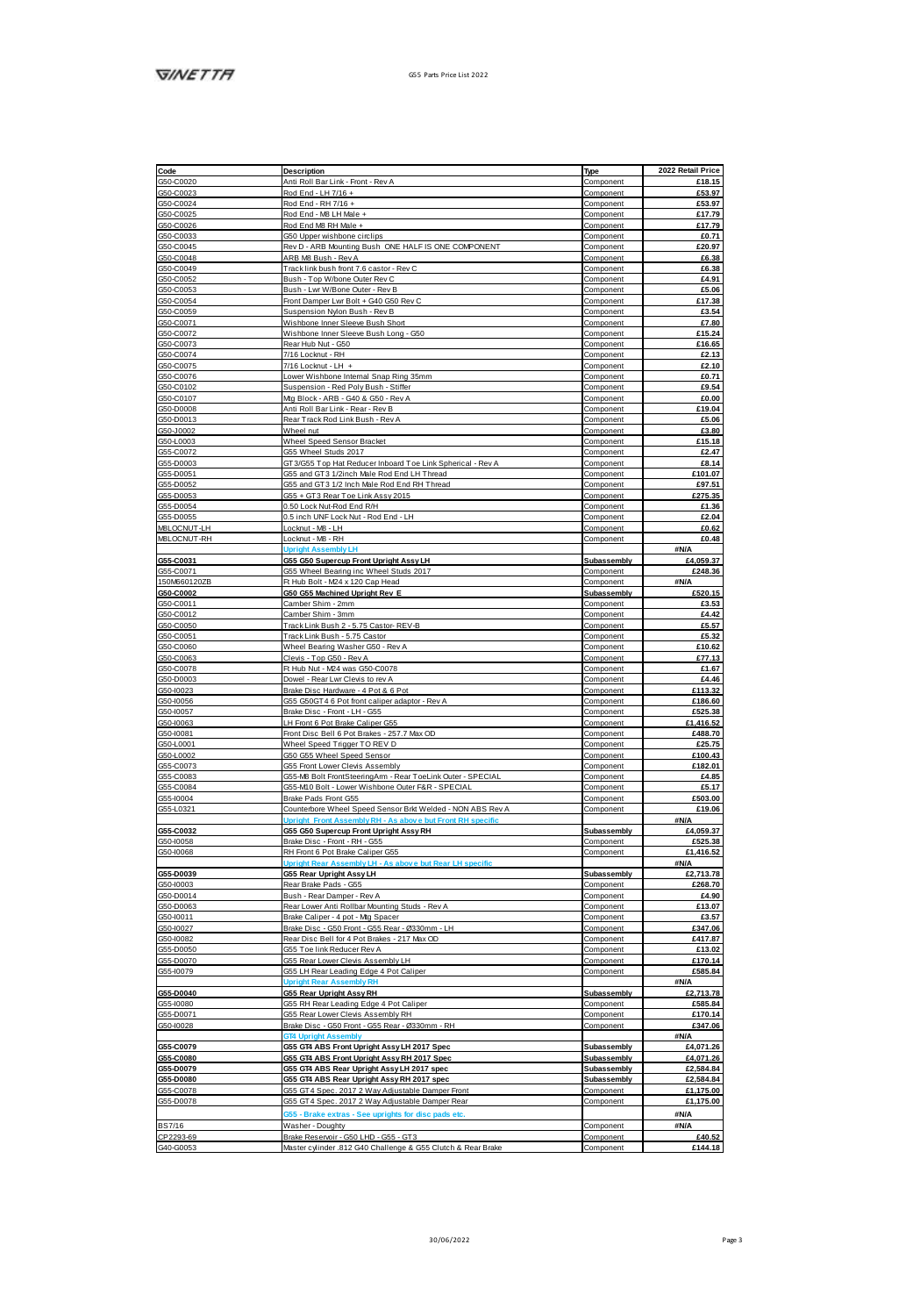| Code                                                                                                                                                                                                                                                                                                                                                                              | Description                                                                                           | Type                   | 2022 Retail Price |
|-----------------------------------------------------------------------------------------------------------------------------------------------------------------------------------------------------------------------------------------------------------------------------------------------------------------------------------------------------------------------------------|-------------------------------------------------------------------------------------------------------|------------------------|-------------------|
| G50-C0020                                                                                                                                                                                                                                                                                                                                                                         | Anti Roll Bar Link - Front - Rev A                                                                    | Component              | £18.15            |
| G50-C0023                                                                                                                                                                                                                                                                                                                                                                         | Rod End - LH 7/16 +                                                                                   | Component              | £53.97            |
|                                                                                                                                                                                                                                                                                                                                                                                   | Rod End - RH 7/16 +                                                                                   | Component              | £53.97            |
|                                                                                                                                                                                                                                                                                                                                                                                   | Rod Fod - MR LH Male +                                                                                | Component              | 61779             |
|                                                                                                                                                                                                                                                                                                                                                                                   |                                                                                                       |                        |                   |
|                                                                                                                                                                                                                                                                                                                                                                                   | Rod End M8 RH Male +                                                                                  | Component              | £17.79            |
|                                                                                                                                                                                                                                                                                                                                                                                   | G50 Upper wishbone circlips                                                                           | Component              | £0.71             |
|                                                                                                                                                                                                                                                                                                                                                                                   | Rev D - ARB Mounting Bush, ONE HALF IS ONE COMPONENT                                                  | Component              | £20.97            |
| $\frac{060\cdot00024}{050\cdot00028} \newline \frac{060\cdot00025}{050\cdot00008} \newline \frac{060\cdot00008}{050\cdot00008} \newline \frac{060\cdot00048}{050\cdot00008} \newline \frac{060\cdot00062}{050\cdot000054} \newline \frac{060\cdot00054}{050\cdot00007} \newline \frac{060\cdot00074}{050\cdot00007} \newline \frac{060\cdot00073}{050\cdot00007} \newline \frac{$ | ARB MB Bush - Rev A                                                                                   | Component              | £6.38             |
|                                                                                                                                                                                                                                                                                                                                                                                   | Track link bush front 7.6 castor - Rev C                                                              | Component              | £6.38             |
|                                                                                                                                                                                                                                                                                                                                                                                   | Bush - Top W/bone Outer Rev C                                                                         | Component              | £4.91             |
|                                                                                                                                                                                                                                                                                                                                                                                   | Bush - Lwr W/Bone Outer - Rev B                                                                       | Component              | £5.06             |
|                                                                                                                                                                                                                                                                                                                                                                                   |                                                                                                       |                        |                   |
|                                                                                                                                                                                                                                                                                                                                                                                   | Front Damper Lwr Bolt + G40 G50 Rev C                                                                 | Component              | £17.38            |
|                                                                                                                                                                                                                                                                                                                                                                                   | Suspansion Nylon Bush - Rev B                                                                         | Component              | £3.54             |
|                                                                                                                                                                                                                                                                                                                                                                                   | Wishbone Inner Sleeve Bush Short                                                                      | Component              | <b>£7.80</b>      |
|                                                                                                                                                                                                                                                                                                                                                                                   | Wishbone Inner Sleeve Bush Long - G50                                                                 | Component              | £15.24            |
|                                                                                                                                                                                                                                                                                                                                                                                   | Rear Hub Nut - G50                                                                                    | Component              | £16.65            |
|                                                                                                                                                                                                                                                                                                                                                                                   | 7/16 Lockhut - RH                                                                                     | Component              | £2.13             |
|                                                                                                                                                                                                                                                                                                                                                                                   |                                                                                                       |                        |                   |
|                                                                                                                                                                                                                                                                                                                                                                                   | 7/16 Locknut - LH +                                                                                   | Component              | £2.10             |
|                                                                                                                                                                                                                                                                                                                                                                                   | Lower Wishbone Internal Snap Ring 35mm                                                                | Component              | £0.71             |
|                                                                                                                                                                                                                                                                                                                                                                                   | Suspension - Red Poly Bush - Stiffer                                                                  | Component              | £9.54             |
|                                                                                                                                                                                                                                                                                                                                                                                   | Mg Block - ARB - G40 & G50 - Rev A                                                                    | Component              | 60.00             |
| G50-C0076<br>G50-C0102<br>G50-C0107<br>G50-D0008                                                                                                                                                                                                                                                                                                                                  | Anti Roll Bar Link - Rear - Rev B                                                                     | Component              | £19.04            |
|                                                                                                                                                                                                                                                                                                                                                                                   | Rear Track Rod Link Bush - Rev A                                                                      | Component              | £5.06             |
|                                                                                                                                                                                                                                                                                                                                                                                   |                                                                                                       |                        |                   |
| G50-D6013<br>G50-J0002<br>G55-C0072                                                                                                                                                                                                                                                                                                                                               | Wheel nut                                                                                             | Component              | 63.80             |
|                                                                                                                                                                                                                                                                                                                                                                                   | Wheel Speed Sensor Bracket                                                                            | Component              | £15.18            |
|                                                                                                                                                                                                                                                                                                                                                                                   | GSS Wheel Studs 2017                                                                                  | Component              | 62.47             |
|                                                                                                                                                                                                                                                                                                                                                                                   | GT3/G55 Top Hat Reducer Inboard Toe Link Spherical - Rev A                                            | Component              | £8.14             |
| GSS-D0003<br>GSS-D0051                                                                                                                                                                                                                                                                                                                                                            | GSS and GT3 1/2inch Male Rod End LH Thread                                                            | Component              | £101.07           |
|                                                                                                                                                                                                                                                                                                                                                                                   | G55 and GT3 1/2 Inch Male Rod End RH Thread                                                           | Component              | £97.51            |
|                                                                                                                                                                                                                                                                                                                                                                                   |                                                                                                       |                        |                   |
|                                                                                                                                                                                                                                                                                                                                                                                   | G55 + GT3 Rear Toe Link Assy 2015                                                                     | Component              | £275.35           |
| G55-D0052<br>G55-D0053<br>G55-D0054                                                                                                                                                                                                                                                                                                                                               | 0.50 Lock Nut-Rod End R/H                                                                             | Component              | £1.36             |
|                                                                                                                                                                                                                                                                                                                                                                                   | 0.5 inch UNF Lock Nut - Rod End - LH                                                                  | Component              | £2.04             |
| GSS-D0055<br>GSS-D0055<br>MBLOCNUT-RH                                                                                                                                                                                                                                                                                                                                             | Locknut - MB - LH                                                                                     | Component              | £0.62             |
|                                                                                                                                                                                                                                                                                                                                                                                   | Locknut - MB - RH                                                                                     | Component              | £0.48             |
|                                                                                                                                                                                                                                                                                                                                                                                   |                                                                                                       |                        |                   |
|                                                                                                                                                                                                                                                                                                                                                                                   | <b>Upright Assembly LH</b>                                                                            |                        | #N/A              |
| G55-C0031                                                                                                                                                                                                                                                                                                                                                                         | G55 G50 Supercup Front Upright Assy LH                                                                | Subassembly            | £4,059.37         |
| G55-C0071<br>150M660120ZB                                                                                                                                                                                                                                                                                                                                                         | G55 Wheel Bearing inc Wheel Studs 2017                                                                | Component              | £248.36           |
|                                                                                                                                                                                                                                                                                                                                                                                   | Ft Hub Bolt - M24 x 120 Cap Head                                                                      | Component              | AN/A              |
| 350-00002<br>G50-00011<br>G50-00012                                                                                                                                                                                                                                                                                                                                               | G50 G55 Machined Upright Rev E                                                                        | Subassembly            | £520.15           |
|                                                                                                                                                                                                                                                                                                                                                                                   | Camber Shim - 2mm                                                                                     | Component              | £3.53             |
|                                                                                                                                                                                                                                                                                                                                                                                   |                                                                                                       |                        |                   |
|                                                                                                                                                                                                                                                                                                                                                                                   | Camber Shim - 3mm                                                                                     | Component              | £4.42             |
| G50-C0050<br>G50-C0051                                                                                                                                                                                                                                                                                                                                                            | Track Link Bush 2 - 5.75 Castor- REV-B                                                                | Component              | £5.57             |
|                                                                                                                                                                                                                                                                                                                                                                                   | Track Link Bush - 5.75 Castor                                                                         | Component              | £5.32             |
|                                                                                                                                                                                                                                                                                                                                                                                   | Wheel Bearing Washer G50 - Rev A                                                                      | Component              | £10.62            |
| G50-C0060<br>G50-C0063                                                                                                                                                                                                                                                                                                                                                            | Clevis - Top G50 - Rev A                                                                              | Component              | 677 13            |
| G50-C0063<br>G50-C0078<br>G50-D0003                                                                                                                                                                                                                                                                                                                                               | Ft Hub Nut - M24 was G50-C0078                                                                        | Component              | £1.67             |
|                                                                                                                                                                                                                                                                                                                                                                                   | Dowel - Rear Lwr Clevis to rev A                                                                      | Component              | £4.46             |
|                                                                                                                                                                                                                                                                                                                                                                                   |                                                                                                       |                        |                   |
| GS0-10023                                                                                                                                                                                                                                                                                                                                                                         | Brake Disc Hardware - 4 Pot & 6 Pot                                                                   | Component              | £113.32           |
| G50-10056                                                                                                                                                                                                                                                                                                                                                                         | G55 G50GT 4 6 Pot front caliper adaptor - Rev A                                                       | Component              | £186.60           |
|                                                                                                                                                                                                                                                                                                                                                                                   | Brake Disc - Front - LH - G55                                                                         | Component              | £525.38           |
|                                                                                                                                                                                                                                                                                                                                                                                   | LH Front 6 Pot Brake Caliper G55                                                                      | Component              | £1,416.52         |
|                                                                                                                                                                                                                                                                                                                                                                                   |                                                                                                       |                        |                   |
|                                                                                                                                                                                                                                                                                                                                                                                   |                                                                                                       |                        |                   |
|                                                                                                                                                                                                                                                                                                                                                                                   | Front Disc Bell 6 Pot Brakes - 257.7 Max OD                                                           | Component              | £488.70           |
|                                                                                                                                                                                                                                                                                                                                                                                   | Wheel Speed Trigger TO REV D                                                                          | Component              | £25.75            |
|                                                                                                                                                                                                                                                                                                                                                                                   | G50 G55 Wheel Sneet Sensor                                                                            | Component              | £100.43           |
| G50-10057<br>G50-10063<br>G50-10081<br>G50-1.0002<br>G50-1.0002<br>G55-C0073                                                                                                                                                                                                                                                                                                      | GSS Front Lower Clevis Assembly                                                                       |                        | £182.01           |
|                                                                                                                                                                                                                                                                                                                                                                                   |                                                                                                       | Component              |                   |
|                                                                                                                                                                                                                                                                                                                                                                                   | G55-M8 Bolt FrontSteeringArm - Rear ToeLink Outer - SPECIAL                                           | Component              | £4.85             |
| G55-C0083<br>G55-C0084                                                                                                                                                                                                                                                                                                                                                            | G55-M10 Bolt - Lower Wishbone Outer F&R - SPECIAL                                                     | Component              | £5.17             |
| GS5-I0004                                                                                                                                                                                                                                                                                                                                                                         | Brake Pads Front G55                                                                                  | Component              | £503.00           |
| GSS-L0321                                                                                                                                                                                                                                                                                                                                                                         | Counterbore Wheel Speed Sensor Brit Welded - NON ABS Rev A                                            | Component              | £19.06            |
|                                                                                                                                                                                                                                                                                                                                                                                   | t Ass                                                                                                 |                        | #N/A              |
|                                                                                                                                                                                                                                                                                                                                                                                   | G55 G50 Supercup Front Upright Assy RH                                                                | Subassembly            | £4.059.37         |
| 055-C0032<br>GS0-10058                                                                                                                                                                                                                                                                                                                                                            | Brake Disc - Front - RH - G55                                                                         | Component              | £525.38           |
|                                                                                                                                                                                                                                                                                                                                                                                   |                                                                                                       |                        |                   |
| G50-10068                                                                                                                                                                                                                                                                                                                                                                         | RH Front 6 Pot Brake Caliper G55<br>٤F                                                                | Component              | £1,416.52         |
|                                                                                                                                                                                                                                                                                                                                                                                   |                                                                                                       |                        | <b>SN/A</b>       |
|                                                                                                                                                                                                                                                                                                                                                                                   | <b>G55 Rear Upright Assy LH</b>                                                                       | Subassembly            | £2,713.78         |
|                                                                                                                                                                                                                                                                                                                                                                                   | Rear Brake Pads - G55                                                                                 | Component              | £268.70           |
|                                                                                                                                                                                                                                                                                                                                                                                   | Bush - Rear Damper - Rev A                                                                            | Component              | £4.90             |
|                                                                                                                                                                                                                                                                                                                                                                                   | Rear Lower Anti Rollbar Mounting Studs - Rev A                                                        | Component              | £13.07            |
|                                                                                                                                                                                                                                                                                                                                                                                   | Brake Caliper - 4 pot - Mg Spacer                                                                     | Component              | £3.57             |
|                                                                                                                                                                                                                                                                                                                                                                                   | Brake Disc - G50 Front - G55 Rear - Ø330mm - LH                                                       | Component              | £347.06           |
|                                                                                                                                                                                                                                                                                                                                                                                   | Rear Disc Bell for 4 Pot Brakes - 217 Max OD                                                          | Component              | <b>£417.87</b>    |
| 055-00039<br>050-10003<br>050-00014<br>050-10011<br>050-10027<br>050-10027                                                                                                                                                                                                                                                                                                        |                                                                                                       |                        |                   |
|                                                                                                                                                                                                                                                                                                                                                                                   | GSS Toe link Reducer Rev A                                                                            | Component              | £13.02            |
|                                                                                                                                                                                                                                                                                                                                                                                   | GSS Rear Lower Clevis Assembly LH                                                                     | Component              | £170.14           |
| GS5-D0050<br>GS5-D0050<br>GS5-D0070                                                                                                                                                                                                                                                                                                                                               | G55 LH Rear Leading Edge 4 Pot Caliper                                                                | Component              | £585.84           |
|                                                                                                                                                                                                                                                                                                                                                                                   | <b>Uoright Rear Assembly RH</b>                                                                       |                        | #N/A              |
|                                                                                                                                                                                                                                                                                                                                                                                   |                                                                                                       | Subassembly            | £2,713.78         |
|                                                                                                                                                                                                                                                                                                                                                                                   | <b>G55 Rear Upright Assy RH</b>                                                                       | Component              | £585.84           |
| 055-D0040<br>GSS-10080                                                                                                                                                                                                                                                                                                                                                            | G55 RH Rear Leading Edge 4 Pot Caliper                                                                |                        |                   |
|                                                                                                                                                                                                                                                                                                                                                                                   | G55 Rear Lower Clevis Assembly RH                                                                     | Component              | £170.14           |
| GSS-D0071<br>GS0-10028                                                                                                                                                                                                                                                                                                                                                            | Brake Disc - G50 Front - G55 Rear - Ø330mm - RH                                                       | Component              | £347.06           |
|                                                                                                                                                                                                                                                                                                                                                                                   | <b>TA Lincinie Assembly</b>                                                                           |                        | <b>SN/A</b>       |
|                                                                                                                                                                                                                                                                                                                                                                                   | G55 GT4 ABS Front Upright Assy LH 2017 Spec                                                           | Subassembly            | £4,071.26         |
|                                                                                                                                                                                                                                                                                                                                                                                   |                                                                                                       | Subassembly            | £4.071.26         |
|                                                                                                                                                                                                                                                                                                                                                                                   | G55 GT4 ABS Front Upright Assy RH 2017 Spec                                                           |                        |                   |
| G55-C0079<br>G55-C0080<br>G55-D0079                                                                                                                                                                                                                                                                                                                                               | G55 GT4 ABS Rear Upright Assy LH 2017 spec                                                            | Subassembly            | £2,584.84         |
|                                                                                                                                                                                                                                                                                                                                                                                   | G55 GT4 ABS Rear Upright Assy RH 2017 spec                                                            | Subassembly            | £2,584.84         |
|                                                                                                                                                                                                                                                                                                                                                                                   | G55 GT4 Spec. 2017 2 Way Adjustable Damper Front                                                      | Component              | £1.175.00         |
| 055-00080<br>GSS-00078<br>GSS-00078                                                                                                                                                                                                                                                                                                                                               | G55 GT4 Spec. 2017 2 Way Adjustable Damper Rear                                                       | Component              | £1,175.00         |
|                                                                                                                                                                                                                                                                                                                                                                                   |                                                                                                       |                        |                   |
|                                                                                                                                                                                                                                                                                                                                                                                   | ISS - Brake extras - See uprights for disc pads etc.                                                  |                        | #N/A              |
| <b>BS7/16</b>                                                                                                                                                                                                                                                                                                                                                                     | Washer - Doughty                                                                                      | Component              | #N/A              |
| CP2293-69<br>G40-G0053                                                                                                                                                                                                                                                                                                                                                            | Brake Reservoir - G50 LHD - G55 - GT3<br>Master cylinder .812 G40 Challenge & G55 Clutch & Rear Brake | Component<br>Component | £40.52<br>£144,18 |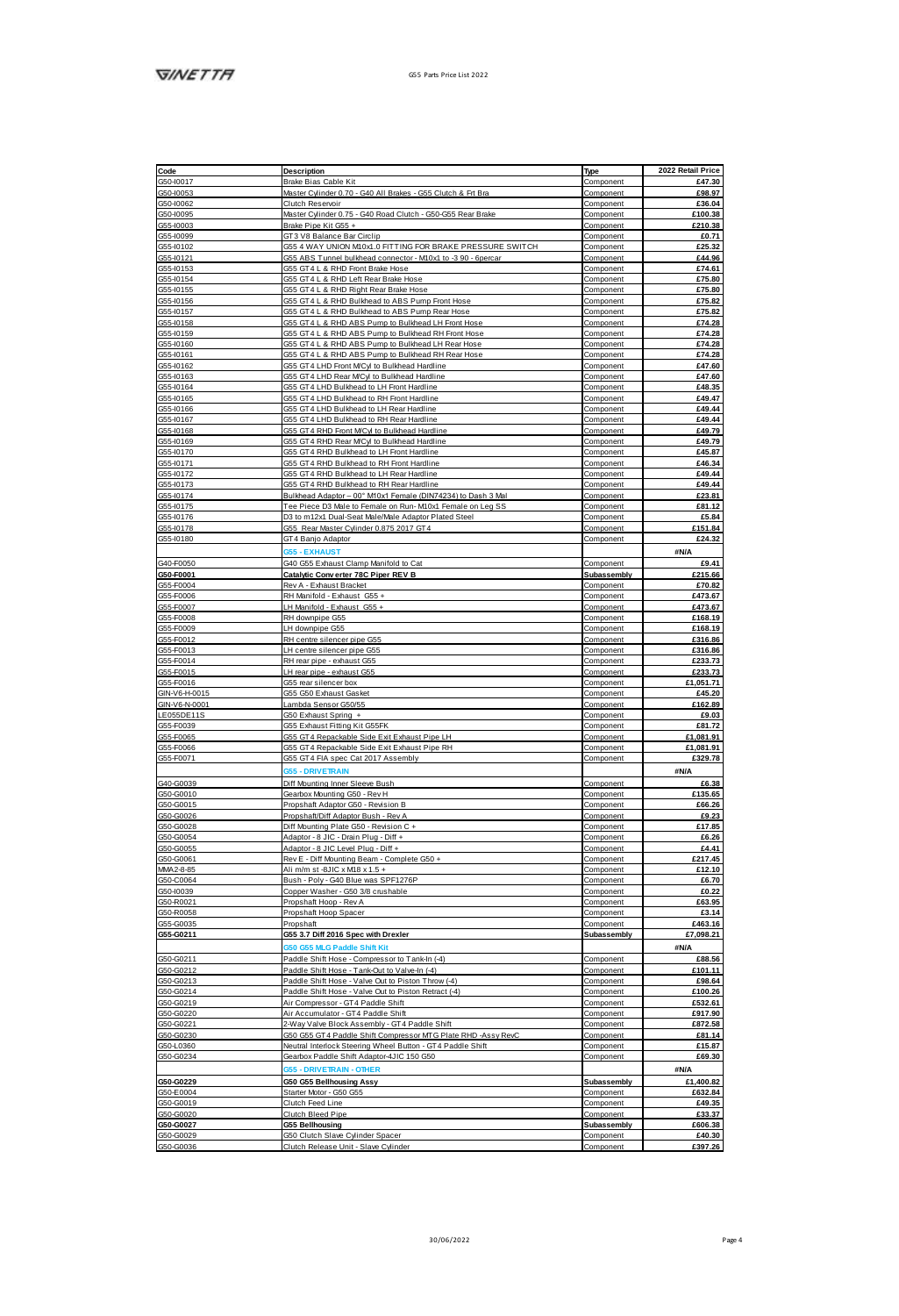|                                                               | Description                                                                        | Type                   | 2022 Retail Price |
|---------------------------------------------------------------|------------------------------------------------------------------------------------|------------------------|-------------------|
| Code<br>GS0-10017                                             | Brake Bias Cable Kit                                                               | Component              | £47.30            |
| G50-10053                                                     | Master Cylinder 0.70 - G40 All Brakes - G55 Clutch & Frt Bra                       | Component              | £98.97            |
| G50-10062                                                     | Clutch Reservoir                                                                   | Component              | £36.04            |
| GS0-10095                                                     | Master Cylinder 0.75 - G40 Road Clutch - G50-G55 Rear Brake                        |                        |                   |
|                                                               |                                                                                    | Component              | £100.38           |
|                                                               | Brake Pipe Kit G55 +                                                               | Component              | £210.38           |
| GS5-10003<br>GS5-10009<br>GS5-10102<br>GS5-10153<br>GS5-10153 | GT3 V8 Balance Bar Circlip                                                         | Component              | £0.71             |
|                                                               | G55 4 WAY UNION M10x1.0 FITTING FOR BRAKE PRESSURE SWITCH                          | Component              | £25.32            |
|                                                               | G55 ABS Tunnel bulkhead connector - M10x1 to -3 90 - 6percar                       | Component              | £44.96            |
|                                                               | GSS GT4 L & RHD Front Rigie Hose                                                   | Component              | <b>97461</b>      |
|                                                               | GSS GT4 L & RHD Left Rear Brake Hose                                               | Component              | £75.80            |
|                                                               | 355 GT4 L & RHD Right Rear Brake Hose                                              |                        | £75.80            |
| GSS-10155<br>GSS-10156                                        |                                                                                    | Component              |                   |
|                                                               | GSS GT4 L & RHD Bulkhead to ABS Pump Front Hose                                    | Component              | £75.82            |
| GS5-I0157                                                     | G55 GT4 L & RHD Bulkhead to ABS Pump Rear Hose                                     | Component              | £75.82            |
|                                                               | G55 GT4 L & RHD ABS Pump to Bulkhead LH Front Hose                                 | Component              | £74.28            |
| G55-10158<br>G55-10159                                        | G55 GT4 L & RHD ABS Pump to Bulkhead RH Front Hose                                 | Component              | £74.28            |
|                                                               | G55 GT4 L & RHD ABS Pump to Bulkhead LH Rear Hose                                  | Component              | £74.28            |
| G55-10160<br>G55-10161                                        | G55 GT4 L & RHD ABS Pump to Bulkhead RH Rear Hose                                  | Component              | £74.28            |
| G55-10161<br>G55-10162                                        |                                                                                    |                        |                   |
|                                                               | G55 GT4 LHD Front MCyl to Bulkhead Hardline                                        | Component              | £47.60            |
|                                                               | GSS GT4 LHD Rear M/Cyl to Bulkhead Hardline                                        | Component              | £47.60            |
| GS5-10164                                                     | GSS GT4 LHD Bulkhead to LH Front Hardline                                          | Component              | <b>FAR 35</b>     |
| GS5-10165                                                     | GSS GT4 LHD Bulkhead to RH Front Hardline                                          | Component              | £49.47            |
| G55-10166                                                     | GSS GT4 LHD Bulkhead to LH Rear Hardline                                           | Component              | £49.44            |
|                                                               | G55 GT4 LHD Bulkhead to RH Rear Hardline                                           |                        | £49.44            |
| GS5-10167<br>GS5-10168                                        |                                                                                    | Component              |                   |
|                                                               | GSS GT4 RHD Front MCM to Bulkhead Hardline                                         | Component              | £49.79            |
| GS5-10169                                                     | GSS GT4 RHD Rear M/Cvl to Bulkhead Hardling                                        | Component              | £49.79            |
| GS5-10170                                                     | GSS GT4 RHD Bulkhead to LH Front Hardline                                          | Component              | £45.87            |
| GS5-10171                                                     | GSS GT4 RHD Bulkhood to RH Finnt Hortling                                          | Component              | <b>PAR 34</b>     |
| GS5-10172                                                     | GSS GT4 RHD Bulkhead to LH Rear Hardline                                           | Component              | £49.44            |
| GS5-I0173                                                     | GSS GT4 RHD Bulkhead to RH Rear Hardline                                           | Component              | £49.44            |
| G55-10174                                                     | Bulkhead Adaptor - 00" M10x1 Female (DIN74234) to Dash 3 Ma                        |                        | £23.81            |
|                                                               |                                                                                    | Component              |                   |
| GS5-10175                                                     | Tee Piece D3 Male to Female on Run- M10x1 Female on Leg SS                         | Component              | £81.12            |
| GS5-10176                                                     | D3 to m12x1 Dual-Seat Male/Male Adaptor Plated Steel                               | Component              | £5.84             |
| G55-10178                                                     | GSS Rear Master Cylinder 0.875 2017 GT4                                            | Component              | £151.84           |
| G55-10180                                                     | GT4 Banjo Adaptor                                                                  | Component              | £24.32            |
|                                                               |                                                                                    |                        |                   |
|                                                               | <b>055 - EXHAUST</b>                                                               |                        | <b>#N/A</b>       |
| G40-F0050<br>G50-F0001                                        | G40 G55 Exhaust Clamp Manifold to Cat                                              | Component              | £9.41             |
|                                                               | Catalytic Converter 78C Piper REV B                                                | Subassembly            | £215.66           |
| G55-F0004                                                     | Rev A - Exhaust Bracket                                                            | Component              | £70.82            |
| G55-F0006                                                     | RH Manifold - Exhaust G55 +                                                        | Component              | £473.67           |
|                                                               |                                                                                    |                        |                   |
| G55-F0007                                                     | H Manifold - Exhaust GSS +                                                         | Component              | £473.67           |
| G55-F0008                                                     | RH downpipe G55                                                                    | Component              | £168.19           |
| GS5-F0009                                                     | LH downpipe G55                                                                    | Component              | £168.19           |
| G55-F0012                                                     | RH centre silencer pipe G55                                                        | Component              | £316.86           |
| GS5-F0013                                                     | LH centre silencer pipe G55                                                        | Component              | £316.86           |
| GSS-F0014<br>GSS-F0014<br>GSS-F0016                           | RH rear pipe - exhaust GSS                                                         | Component              | £233.73           |
|                                                               |                                                                                    |                        | £233.73           |
|                                                               | H rear pipe - exhaust G55                                                          | Component              |                   |
|                                                               | GSS rear silencer box                                                              | Component              | £1.051.71         |
| GIN-V6-H-0015<br>GIN-V6-N-0001                                | GSS GS0 Exhaust Gasket                                                             | Component              | £45.20            |
|                                                               | Lambda Sensor G50/55                                                               | Component              | £162.89           |
| I FOSSDE118                                                   | G50 Exhaust Spring +                                                               | Component              | £9.03             |
| G55-F0039                                                     | GSS Exhaust Fitting Kit GSSFK                                                      | Component              | £81.72            |
|                                                               |                                                                                    |                        |                   |
|                                                               |                                                                                    |                        |                   |
| G55-F0065                                                     | G55 GT4 Repackable Side Exit Exhaust Pipe LH                                       | Component              | £1 081 91         |
| G55-F0066                                                     | G55 GT4 Repackable Side Exit Exhaust Pipe RH                                       | Component              | £1,081.91         |
| G55-F0071                                                     | GSS GT4 FIA spec Cat 2017 Assembly                                                 | Component              | £329.78           |
|                                                               | <b>5 - DRIVETRAIL</b>                                                              |                        | #N/A              |
|                                                               |                                                                                    |                        |                   |
|                                                               | Diff Mounting Inner Sleeve Bush                                                    | Component              | £6.38             |
| G40-G0039<br>G50-G0010                                        | Gearbox Mounting G50 - Rev H                                                       | Component              | £135.65           |
| G50-G0015                                                     | Propshaft Adaptor G50 - Revision B                                                 | Component              | £66.26            |
|                                                               | Propshaft/Diff Adaptor Bush - Rev A                                                | Component              | £9.23             |
| G50-G0026<br>G50-G0028                                        | Diff Mounting Plate G50 - Revision C +                                             | Component              | £17.85            |
| G50-G0054                                                     | Adaptor - 8 JIC - Drain Plug - Diff +                                              | Component              | £6.26             |
|                                                               |                                                                                    |                        | 94.41             |
| G50-G0055                                                     | Adaptor - 8 JIC Level Plug - Diff +<br>Rev E - Diff Mounting Beam - Complete G50 + | Component              | £217.45           |
| G50-G0061                                                     |                                                                                    | Component              |                   |
| MM42-8-85                                                     | Ali m/m st -8JIC x M18 x 1.5 +                                                     | Component              | £12.10            |
| G50-C0064                                                     | Bush - Poly - G40 Blue was SPF1276P                                                | Component              | £6.70             |
| GS0-10039                                                     | Copper Washer - G50 3/8 crushable                                                  | Component              | £0.22             |
| G50-R0021                                                     | Propshaft Hoop - Rev A                                                             | Component              | £63.95            |
|                                                               |                                                                                    | Component              | £3.14             |
| G50-R0058<br>G55-G0035                                        | Propshaft Hoop Spacer<br>Propshaft                                                 | Component              | £463.16           |
|                                                               |                                                                                    |                        |                   |
| G55-G0211                                                     | G55 3.7 Diff 2016 Spec with Drexler                                                | Subassembly            | £7.098.21         |
|                                                               | 55 MLG Paddle Shift                                                                |                        | 3N/A              |
|                                                               | Paddle Shift Hose - Compressor to Tank-In (-4)                                     | Component              | £88.56            |
| G50-G0211<br>G50-G0212                                        | Paddle Shift Hose - Tank-Out to Valve-In (-4)                                      | Component              | £101.11           |
|                                                               | Paddle Shift Hose - Valve Out to Piston Throw (-4)                                 | Component              | £98.64            |
|                                                               | Paddle Shift Hose - Valve Out to Piston Retract (-4)                               | Component              | £100.26           |
|                                                               |                                                                                    | Component              | £532.61           |
|                                                               | Air Compressor - GT4 Paddle Shift                                                  |                        |                   |
| 060400212<br>050-00213<br>050-00219<br>050-00220              | Air Accumulator - GT4 Paddle Shift                                                 | Component              | £917.90           |
| G50-G0221                                                     | 2-Way Valve Block Assembly - GT4 Paddle Shift                                      | Component              | £872.58           |
| G50-G0230                                                     | G50 G55 GT4 Paddle Shift Compressor MT G Plate RHD -Assy RevC                      | Component              | <b>FR1 14</b>     |
| G50-L0380                                                     | Neutral Interlock Steering Wheel Button - GT4 Paddle Shift                         | Component              | <b>£15.87</b>     |
|                                                               |                                                                                    |                        |                   |
| G50-G0234                                                     | Gearbox Paddle Shift Adaptor-4JIC 150 G50                                          | Component              | £69.30            |
|                                                               | <b>055 - DRIVETRAIN - OTHER</b>                                                    |                        | #N/A              |
|                                                               | G50 G55 Bellhousing Assy                                                           | Subassembly            | £1,400.82         |
|                                                               | Stanlar Motor - G50 G55                                                            | Component              | £632.84           |
|                                                               | Clutch Feed Line                                                                   | Component              | £49.35            |
| 050-00229<br>G50-E0004<br>G50-G0019<br>G50-G0020              | Clutch Bleed Pipe                                                                  | Component              | £33.37            |
|                                                               |                                                                                    |                        | <b>FROR 38</b>    |
| G50-G0027                                                     | <b>G55 Bellhousing</b>                                                             | Subassembly            |                   |
| G50-G0029<br>G50-G0036                                        | G50 Clutch Slave Cylinder Spacer<br>Clutch Release Unit - Slave Cylinder           | Component<br>Component | £40.30<br>£397.26 |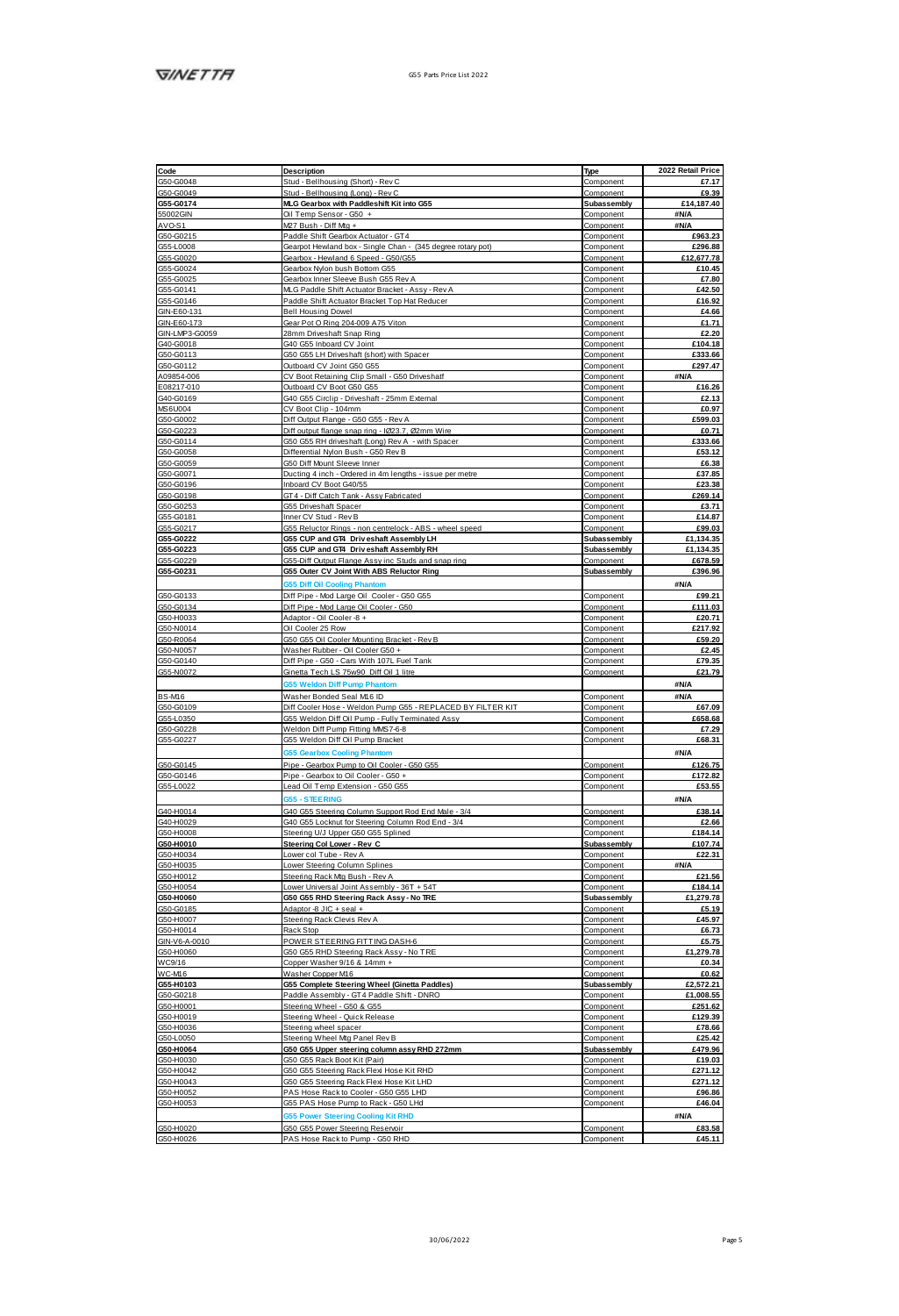|                                                                                                                                                                                                | Description                                                         | Type        | 2022 Retail Price |
|------------------------------------------------------------------------------------------------------------------------------------------------------------------------------------------------|---------------------------------------------------------------------|-------------|-------------------|
|                                                                                                                                                                                                | Stud - Bellhousing (Short) - Rev C                                  | Component   | £7.17             |
|                                                                                                                                                                                                | Stud - Bellhousing (Long) - Rev C                                   | Component   | £9.39             |
|                                                                                                                                                                                                | MLG Gearbox with Paddleshift Kit into G55                           | Subassembly | £14,187.40        |
|                                                                                                                                                                                                | Oil Temp Sensor - G50 +                                             | Component   | <b>SNIA</b>       |
|                                                                                                                                                                                                | M27 Bush - Diff Mg +                                                |             |                   |
|                                                                                                                                                                                                |                                                                     | Component   | <b>SN/A</b>       |
|                                                                                                                                                                                                | Paddle Shift Gearbox Actuator - GT4                                 | Component   | £963.23           |
|                                                                                                                                                                                                | Gearpot Hewland box - Single Chan - (345 degree rotary pot)         | Component   | £296.88           |
|                                                                                                                                                                                                | Gearbox - Hewland 6 Speed - G50/G55                                 | Component   | £12,677.78        |
|                                                                                                                                                                                                | Goathey Nylon hush Bettom GSS                                       | Component   | £10.45            |
|                                                                                                                                                                                                | Gearbox Inner Sleeve Bush G55 Rev A                                 | Component   | £7.80             |
|                                                                                                                                                                                                | M.G Paddle Shift Actuator Bracket - Assv - Rev A                    | Component   | £42.50            |
|                                                                                                                                                                                                | Paddle Shift Actuator Bracket Top Hat Reducer                       | Component   | £16.92            |
|                                                                                                                                                                                                | <b>Rell Housing Dowel</b>                                           | Component   | <b>PA 66</b>      |
|                                                                                                                                                                                                |                                                                     |             |                   |
|                                                                                                                                                                                                | Gear Pot O Ring 204-009 A75 Viton                                   | Component   | £1.71             |
|                                                                                                                                                                                                | 28mm Driveshaft Snap Ring                                           | Component   | £2.20             |
|                                                                                                                                                                                                | G40 G55 Inboard CV Joint                                            | Component   | £104.18           |
|                                                                                                                                                                                                | G50 G55 LH Driveshaft (short) with Spacer                           | Component   | £333.66           |
|                                                                                                                                                                                                | Outboard CV Joint G50 G55                                           | Component   | £297.47           |
|                                                                                                                                                                                                | CV Boot Retaining Clip Small - G50 Driveshaff                       | Component   | 3N/A              |
|                                                                                                                                                                                                | Outboard CV Boot G50 G55                                            | Component   | £16.26            |
|                                                                                                                                                                                                | G40 G55 Circlip - Driveshaft - 25mm External                        |             |                   |
|                                                                                                                                                                                                |                                                                     | Component   | £2.13             |
|                                                                                                                                                                                                | CV Boot Clip - 104mm                                                | Component   | £0.97             |
|                                                                                                                                                                                                | Diff Output Flange - G50 G55 - Rev A                                | Component   | £599.03           |
| MS6U004<br>650-60002<br>650-60223                                                                                                                                                              | Diff output flange snap ring - 1023.7, 02mm Wire                    | Component   | £0.71             |
|                                                                                                                                                                                                | G50 G55 RH driveshaft (Long) Rev A - with Spacer                    | Component   | <b>P333 66</b>    |
|                                                                                                                                                                                                | Differential Nylon Bush - G50 Rev B                                 | Component   | £53.12            |
|                                                                                                                                                                                                | G50 Diff Mount Sleeve Inner                                         | Component   | £6.38             |
|                                                                                                                                                                                                | Ducting 4 inch - Ordered in 4m lengths - issue per metre            | Component   | £37.85            |
|                                                                                                                                                                                                |                                                                     |             |                   |
|                                                                                                                                                                                                | Inboard CV Boot G40/55                                              | Component   | £23.38            |
|                                                                                                                                                                                                | GT4 - Diff Catch Tank - Assy Fabricated                             | Component   | £269.14           |
|                                                                                                                                                                                                | GSS Driveshaft Snaner                                               | Component   | 63.71             |
| 050-00223<br>050-00114<br>050-00058<br>050-00059<br>050-00198<br>050-00198<br>050-00253<br>055-00217<br>055-00217<br>055-00217                                                                 | Inner CV Stud - Rev B                                               | Component   | £14.87            |
|                                                                                                                                                                                                | G55 Reluctor Rings - non centrelock - ABS - wheel speed             | Component   | £99.03            |
|                                                                                                                                                                                                | GSS CUP and GT4 Driveshaft Assembly LH                              | Subassembly | £1.134.35         |
| 055-00222<br>055-00223<br>055-00229                                                                                                                                                            | G55 CUP and GT4 Driveshaft Assembly RH                              | Subassembly | £1,134.35         |
|                                                                                                                                                                                                |                                                                     | Component   | £678.59           |
|                                                                                                                                                                                                | G55-Diff Output Flange Assy inc Studs and snap ring                 |             |                   |
| G55-G0231                                                                                                                                                                                      | G55 Outer CV Joint With ABS Reluctor Ring                           | Subassembly | £396.96           |
|                                                                                                                                                                                                | 55 Diff Oil Cooling Phan                                            |             | #N/A              |
|                                                                                                                                                                                                | Diff Pipe - Mod Large Oil Cooler - G50 G55                          | Component   | £99.21            |
|                                                                                                                                                                                                |                                                                     |             | £111.03           |
|                                                                                                                                                                                                | Diff Pipe - Mod Large Oil Cooler - G50<br>Arlantor - Oil Cooler & a | Component   | £20.71            |
|                                                                                                                                                                                                |                                                                     | Component   |                   |
|                                                                                                                                                                                                | Oil Cooler 25 Row                                                   | Component   | £217.92           |
|                                                                                                                                                                                                | G50 G55 Oil Cooler Mounting Bracket - Rev B                         | Component   | £59.20            |
|                                                                                                                                                                                                | Washer Rubber - Oil Cooler G50 +                                    | Component   | £2.45             |
| 050-00133<br>050-00134<br>050-00134<br>050-N0014<br>050-N0057<br>050-N0057<br>050-N0057                                                                                                        | Diff Pipe - G50 - Cars With 107L Fuel Tank                          | Component   | £79.35            |
|                                                                                                                                                                                                | Ginetta Tech LS 75w90 Diff Oil 1 litre                              | Component   | £21.79            |
|                                                                                                                                                                                                | <b>65 Weldon Diff Pump Phant</b>                                    |             | <b>#N/A</b>       |
| BS-M16<br>GS0-G0109<br>GS5-L0350<br>GS0-G0228<br>GS5-G0227                                                                                                                                     |                                                                     |             |                   |
|                                                                                                                                                                                                | Washer Bonded Seal M16 ID                                           | Component   | <b>SNIA</b>       |
|                                                                                                                                                                                                | Diff Cooler Hose - Weldon Pump GSS - REPLACED BY FILTER KIT         | Component   | £67.09            |
|                                                                                                                                                                                                | G55 Weldon Diff Oil Pump - Fully Terminated Assy                    | Component   | £658.68           |
|                                                                                                                                                                                                | Weldon Diff Pump Fitting MMS7-6-8                                   | Component   | £7.29             |
|                                                                                                                                                                                                | G55 Weldon Diff Oil Pump Bracket                                    | Component   | £68.31            |
|                                                                                                                                                                                                |                                                                     |             |                   |
|                                                                                                                                                                                                | arbox Cooling Ph                                                    |             | <b>SN/A</b>       |
|                                                                                                                                                                                                | Pipe - Gearbox Pump to Oil Cooler - G50 G55                         | Component   | £126.75           |
| G50-G0145<br>G50-G0146                                                                                                                                                                         | Pipe - Gearbox to Oil Cooler - G50 +                                | Component   | £172.82           |
| G55-L0022                                                                                                                                                                                      | Lead Oil Temp Extension - G50 G55                                   | Component   | £53.55            |
|                                                                                                                                                                                                | <b>SS. STEERING</b>                                                 |             | #N/A              |
|                                                                                                                                                                                                |                                                                     |             |                   |
|                                                                                                                                                                                                | G40 G55 Steering Column Support Rod End Male - 3/4                  | Component   | £38.14            |
|                                                                                                                                                                                                | G40 G55 Locknut for Steering Column Rod End - 3/4                   | Component   | £2.66             |
|                                                                                                                                                                                                | Steering U/J Upper G50 G55 Splined                                  | Component   | £184.14           |
|                                                                                                                                                                                                | Steering Col Lower - Rev C                                          | Subassembly | £107.74           |
|                                                                                                                                                                                                | ower col Tube - Rev A                                               | Component   | £22.31            |
|                                                                                                                                                                                                | Lower Steering Column Splines                                       | Component   | 3N/A              |
|                                                                                                                                                                                                | Steering Rack Mtg Bush - Rev A                                      | Component   | £21.56            |
|                                                                                                                                                                                                |                                                                     |             |                   |
|                                                                                                                                                                                                | Lower Universal Joint Assembly - 36T + 54T                          | Component   | £184.14           |
|                                                                                                                                                                                                | G50 G55 RHD Steering Rack Assy - No TRE                             | Subassembly | £1,279.78         |
| 040440014<br>05044009<br>050440008<br>050440016<br>050440016<br>050440016<br>050440017<br>050440017<br>050440016<br>050440016<br>050440016<br>050440016<br>050440016<br>050440016<br>050440016 | Adaptor -8 JIC + seal +                                             | Component   | £5.19             |
|                                                                                                                                                                                                | Steering Rack Clevis Rev A                                          | Component   | £45.97            |
|                                                                                                                                                                                                | Rack Stop                                                           | Component   | £6.73             |
|                                                                                                                                                                                                | POWER STEERING FITTING DASH-6                                       | Component   | £5.75             |
|                                                                                                                                                                                                | G50 G55 RHD Steering Rack Assy - No TRE                             | Component   | £1,279.78         |
|                                                                                                                                                                                                | Copper Washer 9/16 & 14mm +                                         | Component   | 60.34             |
|                                                                                                                                                                                                |                                                                     |             |                   |
|                                                                                                                                                                                                | Washer Copper M16                                                   | Component   | £0.62             |
| 055-H0103<br>050-00218<br>050-H0011<br>050-H0019<br>050-H0050<br>050-H0060<br>050-H0042<br>050-H0042<br>050-H0042<br>050-H0043<br>050-H0043                                                    | G55 Complete Steering Wheel (Ginetta Paddies)                       | Subassembly | £2,572.21         |
|                                                                                                                                                                                                | Paddle Assembly - GT4 Paddle Shift - DNRO                           | Component   | £1,008.55         |
|                                                                                                                                                                                                | Steering Wheel - G50 & G55                                          | Component   | £251.62           |
|                                                                                                                                                                                                | Steering Wheel - Quick Release                                      | Component   | £129.39           |
|                                                                                                                                                                                                | Steering wheel spacer                                               | Component   | <b>£78.68</b>     |
|                                                                                                                                                                                                | Steering Wheel Mg Panel Rev B                                       | Component   | £25.42            |
|                                                                                                                                                                                                |                                                                     |             |                   |
|                                                                                                                                                                                                | G50 G55 Upper steering column assy RHD 272mm                        | Subassembly | £479.96           |
|                                                                                                                                                                                                | GSD GSS Rack Boot Kit (Paid)                                        | Component   | £19.03            |
|                                                                                                                                                                                                | G50 G55 Steering Rack Flexi Hose Kit RHD                            | Component   | £271.12           |
|                                                                                                                                                                                                | G50 G55 Steering Rack Flexi Hose Kit LHD                            | Component   | £271.12           |
|                                                                                                                                                                                                | PAS Hose Rack to Cooler - G50 G55 LHD                               | Component   | <b>F96.86</b>     |
|                                                                                                                                                                                                | GSS PAS Hose Pump to Rack - GS0 LHd                                 | Component   | £46.04            |
|                                                                                                                                                                                                |                                                                     |             |                   |
|                                                                                                                                                                                                | r Steering Co<br>sling Kit RHD                                      |             | <b>SNA</b>        |
| G50-H0020<br>G50-H0026                                                                                                                                                                         | G50 G55 Power Steering Reservoir                                    | Component   | £83.58            |
|                                                                                                                                                                                                | PAS Hose Rack to Pump - G50 RHD                                     | Component   | £45.11            |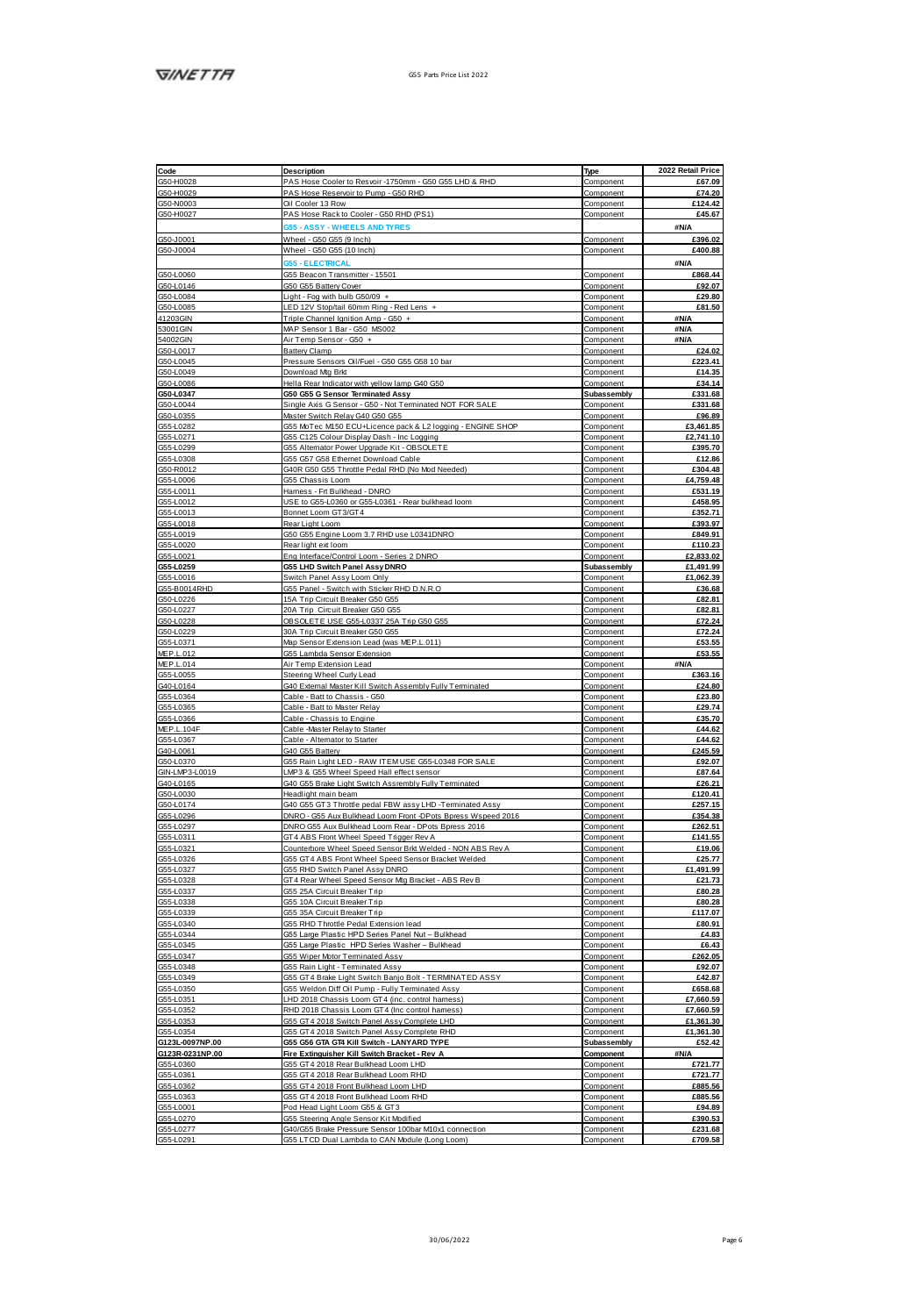| Code                                                                                                                                                                                                      | Description                                                                                                         | Type                     | 2022 Retail Price      |
|-----------------------------------------------------------------------------------------------------------------------------------------------------------------------------------------------------------|---------------------------------------------------------------------------------------------------------------------|--------------------------|------------------------|
| G50-H0028                                                                                                                                                                                                 | PAS Hose Cooler to Resvoir -1750mm - G50 G55 LHD & RHD                                                              | Component                | £67.09                 |
| G50-H0029                                                                                                                                                                                                 | PAS Hose Reservoir to Pump - G50 RHD                                                                                | Component                | £74.20                 |
| G50-N0003<br>G50-H0027                                                                                                                                                                                    | Oil Cooler 13 Row                                                                                                   | Component                | <b>#124.42</b>         |
|                                                                                                                                                                                                           | PAS Hose Rack to Cooler - G50 RHD (PS1)                                                                             | Component                | £45.67                 |
|                                                                                                                                                                                                           | <b>ASSY - WHEELS AND TYRE</b>                                                                                       |                          | <b>SN/A</b>            |
|                                                                                                                                                                                                           | Wheel - G50 G55 (9 Inch)                                                                                            | Component                | £396.02                |
| G50-J0001<br>G50-J0004                                                                                                                                                                                    | Wheel - G50 G55 (10 Inch)                                                                                           | Component                | £400.88                |
|                                                                                                                                                                                                           | <b>355 - ELECTRICAL</b>                                                                                             |                          | aN/A                   |
| 06040060<br>06040146<br>06040066<br>06040066<br>4120901N<br>530010017<br>06040046<br>06040046<br>06040046<br>06040046<br>06040046<br>06040046<br>06040046<br>06040046<br>06040046<br>06040046<br>06040046 | G55 Beacon Transmitter - 15501                                                                                      | Component                | £868.44                |
|                                                                                                                                                                                                           | GS0 GS5 Battery Cover                                                                                               | Component                | £92.07                 |
|                                                                                                                                                                                                           | Light - Fog with bulb G50/09 +                                                                                      | Component                | £29.80                 |
|                                                                                                                                                                                                           | LED 12V Stop/tail 60mm Ring - Red Lens                                                                              | Component                | £81.50                 |
|                                                                                                                                                                                                           | Triple Channel Ignition Amp - G50 +                                                                                 | Component                | #N/A                   |
|                                                                                                                                                                                                           | MAP Sensor 1 Bar - G50 MS002                                                                                        | Component                | <b>SN/A</b>            |
|                                                                                                                                                                                                           | Air Temp Sensor - G50 +                                                                                             | Component                | #N/A                   |
|                                                                                                                                                                                                           | Battery Clamp                                                                                                       | Component                | 624.02                 |
|                                                                                                                                                                                                           | Pressure Sensors Oil/Fuel - G50 G55 G58 10 bar                                                                      | Component                | £223.41                |
|                                                                                                                                                                                                           | Download Mg Brid                                                                                                    | Component                | £14.35                 |
|                                                                                                                                                                                                           | Hella Rear Indicator with vellow lamp G40 G50                                                                       | Component                | £34.14                 |
|                                                                                                                                                                                                           | G50 G55 G Sensor Terminated Assv                                                                                    | Subassembly              | £331.68                |
|                                                                                                                                                                                                           | Single Axis G Sensor - G50 - Not Terminated NOT FOR SALE                                                            | Component                | £331.68                |
|                                                                                                                                                                                                           | Master Switch Relay G40 G50 G55                                                                                     | Component                | £96.89                 |
|                                                                                                                                                                                                           | G55 MoTec M150 ECU+Licence pack & L2 logging - ENGINE SHOP                                                          | Component                | <b>63 461 85</b>       |
|                                                                                                                                                                                                           | G55 C125 Colour Display Dash - Inc Logging                                                                          | Component                | £2,741.10              |
|                                                                                                                                                                                                           | G55 Alternator Power Upgrade Kit - OBSOLETE                                                                         | Component                | £395.70                |
|                                                                                                                                                                                                           | GSS GS7 GS8 Ethernet Download Cable                                                                                 | Component                | £12.86                 |
| G55-L0299<br>G55-L0308<br>G56-L0006<br>G55-L0011<br>G55-L0012<br>G55-L0012                                                                                                                                | G40R G50 G55 Throttle Pedal RHD (No Mod Needed)<br>GSS Chassis Loom                                                 | Component<br>Component   | £304.48<br>£4,759.48   |
|                                                                                                                                                                                                           | Hamess - Fit Bulkhead - DNRO                                                                                        | Component                | 6531.19                |
|                                                                                                                                                                                                           | USE to G55-L0360 or G55-L0361 - Rear bulkhead loom                                                                  | Component                | £458.95                |
|                                                                                                                                                                                                           | Bonnet Loom GT3/GT4                                                                                                 | Component                | £352.71                |
|                                                                                                                                                                                                           | Rear Light Loom                                                                                                     | Component                | £393.97                |
| GSS-L0018<br>GSS-L0019<br>GSS-L0020                                                                                                                                                                       | G50 G55 Engine Loom 3.7 RHD use L0341DNRO                                                                           | Component                | £849.91                |
|                                                                                                                                                                                                           | Rearlight ext loom                                                                                                  | Component                | £110.23                |
|                                                                                                                                                                                                           | Eng Interface/Control Loom - Series 2 DNRO                                                                          | Component                | £2,833.02              |
| 055-10021<br>055-10259<br>055-10016                                                                                                                                                                       | <b>055 LHD Switch Panel Assy DNRO</b>                                                                               | Subassembly              | £1,491.99              |
|                                                                                                                                                                                                           | Switch Panel Assy Loom Only                                                                                         | Component                | £1,062.39              |
|                                                                                                                                                                                                           | G55 Panel - Switch with Sticker RHD D.N.R.O                                                                         | Component                | £36.68                 |
|                                                                                                                                                                                                           | 15A Trip Circuit Breaker G50 G55                                                                                    | Component                | £82.81                 |
| 035-00016<br>055-B0014RHD<br>050-0228<br>050-0227                                                                                                                                                         | 20A Trip Circuit Breaker G50 G55                                                                                    | Component                | £82.81                 |
|                                                                                                                                                                                                           | DBSOLETE USE G55-L0337 25A Trip G50 G55                                                                             | Component                | £72.24                 |
|                                                                                                                                                                                                           | 30A Trip Circuit Breaker G50 G55                                                                                    | Component                | £72.24                 |
|                                                                                                                                                                                                           | Map Sensor Extension Lead (was MEP.L.011)                                                                           | Component                | £53.55                 |
| G50-L0228<br>G50-L0229<br>G55-L0371<br>MEP-L-014                                                                                                                                                          | G55 Lambda Sensor Extension                                                                                         | Component                | £53.55                 |
|                                                                                                                                                                                                           | Air Temp Extension Lead                                                                                             | Component                | #N/A                   |
|                                                                                                                                                                                                           | Steering Wheel Curryl earl                                                                                          | Component                | <b>F363 16</b>         |
|                                                                                                                                                                                                           | G40 External Master Kill Switch Assembly Fully Terminated                                                           | Component                | £24.80                 |
|                                                                                                                                                                                                           | Cable - Batt to Chassis - G50                                                                                       | Component                | £23.80                 |
| MEP.L.014<br>055-L0055<br>040-L0164<br>055-L0386<br>055-L0388<br>MEP.L.104F<br>MEP.L.104F                                                                                                                 | Cable - Batt to Master Relay                                                                                        | Component                | 629.74                 |
|                                                                                                                                                                                                           | Cable - Chassis to Engine                                                                                           | Component                | £35.70                 |
|                                                                                                                                                                                                           | Cable -Master Relay to Starter                                                                                      | Component                | £44.62                 |
| G55-L0367<br>G55-L0367<br>G50-L0370                                                                                                                                                                       | Cable - Altemator to Starter                                                                                        | Component                | £44.62                 |
|                                                                                                                                                                                                           | G40 G55 Battery                                                                                                     | Component                | £245.59                |
|                                                                                                                                                                                                           | G55 Rain Light LED - RAW ITEM USE G55-L0348 FOR SALE<br>LMP3 & G55 Wheel Speed Hall effect sensor                   | Component                | £92.07<br>£87.64       |
| G80-00370<br>GRI-LMP3-00019<br>GS0-0030<br>GS0-0030<br>GS0-00174                                                                                                                                          | G40 G55 Brake Light Switch Assrembly Fully Terminated                                                               | Component<br>Component   | £26.21                 |
|                                                                                                                                                                                                           |                                                                                                                     |                          |                        |
|                                                                                                                                                                                                           | Headlight main beam<br>G40 G55 GT3 Throttle pedal FBW assy LHD -Terminated Assy                                     | Component<br>Component   | £120.41<br>£257.15     |
|                                                                                                                                                                                                           |                                                                                                                     |                          | £354.38                |
| GSS-L0298<br>GSS-L0297                                                                                                                                                                                    | DNRO - G55 Aux Bulkhead Loom Front -DPots Bpress Wspeed 2016<br>DNRO G55 Aux Bulkhead Loom Rear - DPots Bpress 2016 | Component<br>Component   | £262.51                |
| GS5-L0311                                                                                                                                                                                                 | GT4 ABS Front Wheel Speed Trigger Rev A                                                                             | Component                | £141.55                |
|                                                                                                                                                                                                           | Counterbore Wheel Speed Sensor Brit Welded - NON ABS Rev A                                                          | Component                | £19.06                 |
|                                                                                                                                                                                                           | G55 GT4 ABS Front Wheel Speed Sensor Bracket Welded                                                                 | Component                | £25.77                 |
|                                                                                                                                                                                                           | GSS RHD Switch Panel Assy DNRO                                                                                      | Component                | £1,491.99              |
|                                                                                                                                                                                                           | GT4 Rear Wheel Speed Sensor Mg Bracket - ABS Rev B                                                                  | Component                | £21.73                 |
|                                                                                                                                                                                                           | GSS 2SA Circuit Breaker Trip                                                                                        | Component                | £80.28                 |
|                                                                                                                                                                                                           | GS5 10A Circuit Breaker Trip                                                                                        | Component                | £80.28                 |
|                                                                                                                                                                                                           | G55 35A Circuit Breaker Trip                                                                                        | Component                | £117.07                |
|                                                                                                                                                                                                           | GSS RHD Throttle Pedal Extension lead                                                                               | Component                | <b>£80.91</b>          |
|                                                                                                                                                                                                           | G55 Large Plastic HPD Series Panel Nut - Bulkhead                                                                   | Component                | £4.83                  |
|                                                                                                                                                                                                           | G55 Large Plastic HPD Series Washer - Bulkhead                                                                      | Component                | £6.43                  |
|                                                                                                                                                                                                           | GSS Wiper Motor Terminated Assy                                                                                     | Component                | £262.05                |
|                                                                                                                                                                                                           | G55 Rain Light - Terminated Assy                                                                                    | Component                | £92.07                 |
|                                                                                                                                                                                                           | G55 GT4 Brake Light Switch Banjo Bolt - TERMNATED ASSY                                                              | Component                | £42.87                 |
|                                                                                                                                                                                                           | G55 Weldon Diff Oil Pump - Fully Terminated Assy                                                                    | Component                | £658.68                |
|                                                                                                                                                                                                           | LHD 2018 Chassis Loom GT4 (inc. control hamess)<br>RHD 2018 Chassis Loom GT4 (Inc control hamess)                   | Component<br>Component   | £7,660.59<br>£7,660.59 |
|                                                                                                                                                                                                           | GSS GT4 2018 Switch Panel Assy Complete LHD                                                                         | Component                | £1.361.30              |
|                                                                                                                                                                                                           | GSS GT4 2018 Switch Panel Assy Complete RHD                                                                         |                          | £1,361.30              |
|                                                                                                                                                                                                           | G55 G56 GTA GT4 Kill Switch - LANYARD TYPE                                                                          | Component<br>Subassembly | £52.42                 |
| 0123L009/NP.00<br>0123R0231NP.00<br>0554.0380<br>0554.0382<br>0554.0383<br>0554.0383<br>0554.0383                                                                                                         | Fire Extinguisher Kill Switch Bracket - Rev A                                                                       | Component                | <b>SN/A</b>            |
|                                                                                                                                                                                                           | GSS GT4 2018 Rear Bulkhead Loom LHD                                                                                 | Component                | #72177                 |
|                                                                                                                                                                                                           | G55 GT4 2018 Rear Bulkhead Loom RHD                                                                                 | Component                | £721.77                |
|                                                                                                                                                                                                           | GSS GT4 2018 Front Bulkhead Loom LHD                                                                                | Component                | £885.56                |
|                                                                                                                                                                                                           | GSS GT4 2018 Front Bulkhead Loom RHD                                                                                | Component                | £885.56                |
|                                                                                                                                                                                                           | Pod Head Light Loom GSS & GT3                                                                                       | Component                | 694.89                 |
| G55-L0270<br>G55-L0277<br>G55-L0291                                                                                                                                                                       | GSS Steering Angle Sensor Kit Modified                                                                              | Component                | £390.53                |
|                                                                                                                                                                                                           | G40/G55 Brake Pressure Sensor 100bar M10x1 connection                                                               | Component                | £231.68                |
|                                                                                                                                                                                                           | GSS LTCD Dual Lambda to CAN Module (Long Loom)                                                                      |                          | £709.58                |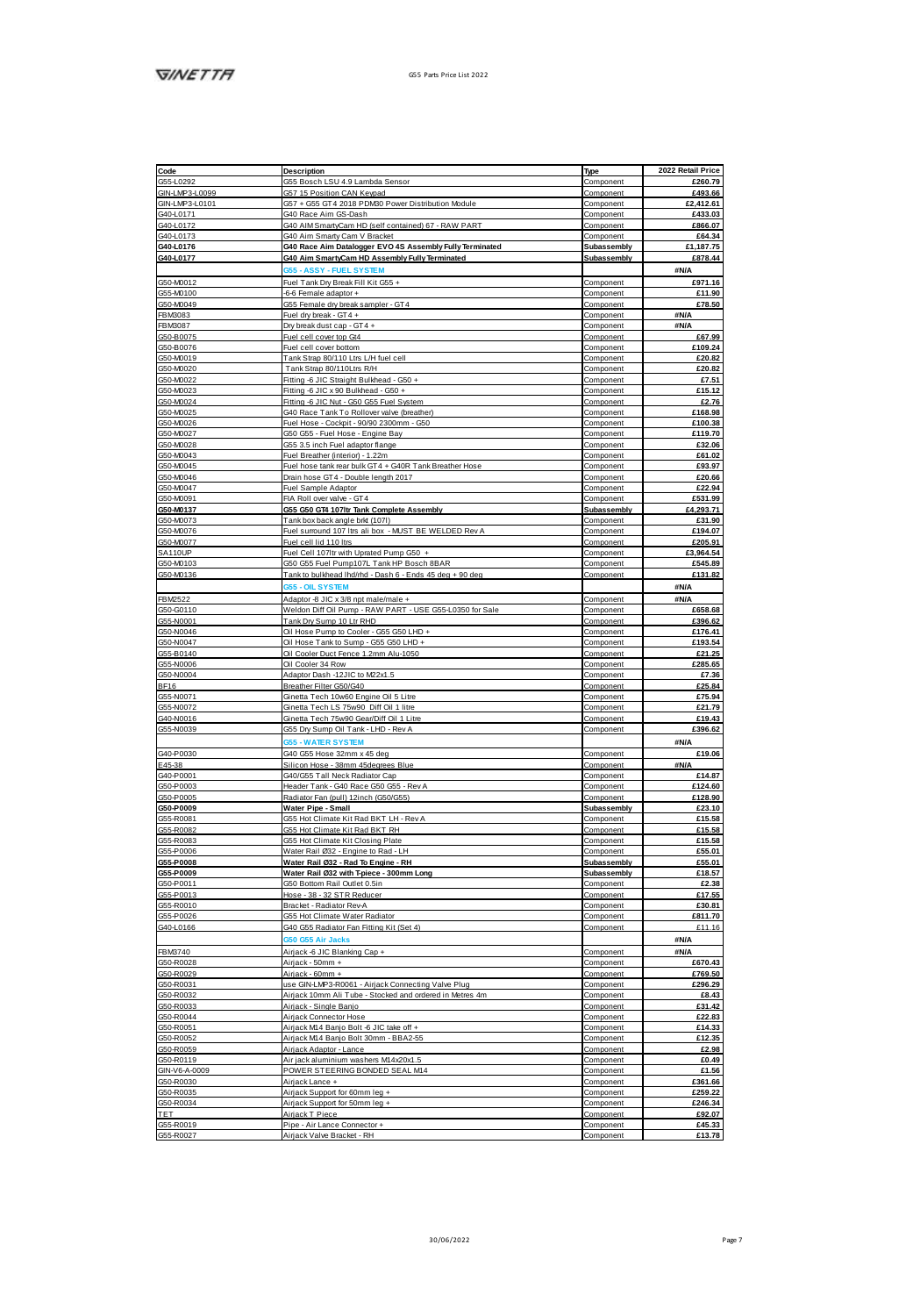| Code                                                 | Description                                                  | Type                   | 2022 Retail Price       |
|------------------------------------------------------|--------------------------------------------------------------|------------------------|-------------------------|
| GSS-L0292                                            | G55 Bosch LSU 4.9 Lambda Sensor                              | Component              | £260.79                 |
| GIN-LMP3-L0099                                       | G57 15 Position CAN Keypa                                    | Component              | £493.66                 |
| GIN-LMP3-L0101                                       | G57 + G55 GT4 2018 PDM30 Power Distribution Module           |                        | £2,412.61               |
|                                                      |                                                              | Component              |                         |
| G40-L0171                                            | G40 Race Aim GS-Dash                                         | Component              | £433.03                 |
| G40-L0172                                            | G40 AIM SmartyCam HD (self contained) 67 - RAW PART          | Component              | £866.07                 |
| G40-L0173                                            | G40 Aim Smarty Cam V Bracket                                 | Component              | £64.34                  |
|                                                      |                                                              |                        |                         |
| G40-L0176                                            | G40 Race Aim Datalogger EVO 4S Assembly Fully Terminated     | Subassembly            | £1,187.75               |
| G40-L0177                                            | G40 Aim SmartyCam HD Assembly Fully Terminated               | Subassembly            | £878.44                 |
|                                                      | <b>ASSY - FUEL SYSTEM</b>                                    |                        | #N/A                    |
|                                                      |                                                              |                        |                         |
| G50-M0012<br>G55-M0100                               | Fuel Tank Dry Break Fill Kit G55 +                           | Component              | £971.16                 |
|                                                      | -6-6 Female adaptor +                                        | Component              | £11.90                  |
| GS0.M0049                                            | G55 Female dry break sampler - GT4                           | Component              | <b>£78.50</b>           |
| <b>FBM9083</b>                                       | Fuel dry break - GT4 +                                       | Component              | AN/A                    |
|                                                      |                                                              |                        |                         |
| <b>FBM3087</b>                                       | Dry break dust cap - GT4 +                                   | Component              | #N/A                    |
| G50-B0075                                            | Fuel cell cover too Gt4                                      | Component              | £67.99                  |
|                                                      | Fuel cell cover bottom                                       | Component              | £109.24                 |
| G50-B0076<br>G50-M0019                               |                                                              | Component              | £20.82                  |
|                                                      | Tank Strap 80/110 Ltrs L/H fuel cell                         |                        |                         |
| G50-M0020<br>G50-M0022                               | Tank Strap 80/110Ltrs R/H                                    | Component              | £20.82                  |
|                                                      | Fitting -6 JIC Straight Bulkhead - G50 +                     | Component              | £7.51                   |
| G50-M0023                                            | Fitting -6 JIC x 90 Bulkhead - G50 +                         | Component              | £15.12                  |
|                                                      |                                                              |                        |                         |
| G50-M0024                                            | Fitting -6 JIC Nut - G50 G55 Fuel System                     | Component              | £2.76                   |
| G50-M0025                                            | 340 Race Tank To Rollover valve (breather)                   | Component              | £168.98                 |
| G50-M0026                                            | Fuel Hose - Cockpit - 90/90 2300mm - G50                     | Component              | £100.38                 |
| G50-M0027                                            | G50 G55 - Fuel Hose - Engine Bay                             | Component              | £119.70                 |
|                                                      |                                                              |                        |                         |
| G50-M0028                                            | G55 3.5 inch Fuel adaptor flange                             | Component              | £32.06                  |
| G50-M0043                                            | Fuel Breather (interior) - 1.22m                             | Component              | £61.02                  |
|                                                      | Fuel hose tank mar bulk GT4 + G40R Tank Breather Hose        | Component              | £93.97                  |
| G50-M0045<br>G50-M0046                               | Drain hose GT4 - Double length 2017                          | Component              | £20.66                  |
|                                                      |                                                              |                        |                         |
| G50-M0047<br>G50-M0091                               | Fuel Sample Adaptor                                          | Component              | £22.94                  |
|                                                      | FIA Roll over valve - GT4                                    | Component              | £531.99                 |
| G50-M0137                                            | G55 G50 GT4 107ltr Tank Complete Assembly                    | <b>Subassembly</b>     | £4,293.71               |
| G50-M0073                                            | Tank box back angle brid (1071)                              | Component              | £31.90                  |
|                                                      |                                                              |                        |                         |
| G50-M0076<br>G50-M0077                               | Fuel surround 107 ltrs ali box - MUST BE WELDED Rev A        | Component              | £194.07                 |
|                                                      | Fuel cell lid 110 ltrs                                       | Component              | £205.91                 |
| SA110UP                                              | Fuel Cell 107ltr with Uprated Pump G50 +                     | Component              | £3,964.54               |
|                                                      | G50 G55 Fuel Pump107L Tank HP Bosch 8BAR                     |                        | £545.89                 |
| G50-M0103<br>G50-M0136                               |                                                              | Component              |                         |
|                                                      | Tank to bulkhead Ihdithd - Dash 6 - Ends 45 deg + 90 deg     | Component              | £131.82                 |
|                                                      | <b>ISS - OIL SYSTEM</b>                                      |                        | <b>SN/A</b>             |
|                                                      |                                                              |                        |                         |
| <b>FBM2522</b>                                       | Adaptor -8 JIC x 3/8 npt male/male +                         | Component              | #N/A                    |
| G50-G0110                                            | Weldon Diff Oil Pump - RAW PART - USE G55-L0350 for Sale     | Component              | £658.68                 |
| G55-N0001                                            | Tank Dry Sump 10 Ltr RHD                                     | Component              | £396.62                 |
| G50-N0046                                            | Oil Hose Pump to Cooler - G55 G50 LHD +                      |                        | £176.41                 |
|                                                      |                                                              | Component              |                         |
| G50-N0047                                            | Oil Hose Tank to Sump - G55 G50 LHD +                        | Component              | <b>F19354</b>           |
| G55-B0140<br>G55-N0006                               | Oil Cooler Duct Fence 1.2mm Alu-1050                         | Component              | £21.25                  |
|                                                      | Oil Cooler 34 Row                                            | Component              | £285.65                 |
|                                                      |                                                              |                        |                         |
|                                                      |                                                              |                        |                         |
| G50-N0004                                            | Adaptor Dash -12JIC to M22d.5                                | Component              | £7.36                   |
| BF16                                                 | Breather Filter G50/G40                                      | Component              | £25.84                  |
|                                                      |                                                              |                        |                         |
| G55-N0071                                            | Ginetta Tech 10w60 Engine Oil 5 Litre                        | Component              | £75.94                  |
| G55-N0072                                            | Ginetta Tech   S 75w90 Diff Oil 1 litte                      | Component              | £21.79                  |
| G40-N0016                                            | Ginetta Tech 75w90 Gear/Diff Oil 1 Litre                     | Component              | £19.43                  |
| G55-N0039                                            | G55 Dry Sump Oil Tank - LHD - Rev A                          | Component              |                         |
|                                                      |                                                              |                        | £396.62                 |
|                                                      | <b>ISS - WATER SYSTEM</b>                                    |                        | #N/A                    |
| G40-P0030                                            | G40 G55 Hose 32mm x 45 deg                                   | Component              | £19.06                  |
| E45-38                                               | Silicon Hose - 38mm 45degrees Blue                           | Component              | #N/A                    |
|                                                      |                                                              | Component              |                         |
| G40-P0001                                            | G40/G55 Tall Neck Radiator Cap                               |                        | £14.87                  |
| G50-P0003                                            | Header Tank - G40 Race G50 G55 - Rev A                       | Component              | £124.60                 |
| G50-P0005                                            | Radiator Fan (pull) 12inch (G50/G55)                         | Component              | £128.90                 |
| G50-P0009                                            |                                                              |                        | 623.10                  |
| G55-R0081                                            | Water Pipe - Small<br>GSS Hot Climate Kit Rad BKT LH - Rev A | <b>Subassembly</b>     | £15.58                  |
|                                                      |                                                              | Component              |                         |
| G55-R0082                                            | GSS Hot Climate Kit Rad BKT RH                               | Component              | £15.58                  |
| G55-R0083                                            | G55 Hot Climate Kit Closing Plate                            | Component              | £15.58                  |
| G55-P0006                                            | Water Rail Ø32 - Engine to Rad - LH                          | Component              | £55.01                  |
| G55-P0008                                            | Water Rail Ø32 - Rad To Engine - RH                          | Subassembly            | £55.01                  |
|                                                      |                                                              |                        |                         |
| G55-P0009                                            | Water Rail Ø32 with T-piece - 300mm Long                     | Subassembly            | £18.57                  |
| G50-P0011                                            | G50 Bottom Rail Outlet 0.5in                                 | Component              | £2.38                   |
| G55-P0013                                            | Hose - 38 - 32 STR Reducer                                   | Component              | £17.55                  |
| GSS-R0010                                            |                                                              | Component              | £30.81                  |
|                                                      | Bracket - Radiator Rev-A                                     |                        |                         |
| G55-P0026                                            | GSS Hot Climate Water Radiator                               | Component              | £811.70                 |
| G40-L0166                                            | G40 G55 Radiator Fan Fitting Kit (Set 4)                     | Component              | £11.16                  |
|                                                      | 350 G55 Air Jacks                                            |                        | #N/A                    |
|                                                      |                                                              |                        |                         |
|                                                      | Airjack-6 JIC Blanking Cap +                                 | Component              | <b>SN/A</b>             |
| FBM3740<br>GS0-R0028                                 | Airiack - 50mm +                                             | Component              | £670.43                 |
|                                                      | Liéonk - Afimm +                                             | Component              | <b>£769.50</b>          |
|                                                      |                                                              |                        |                         |
| G50-R0029<br>G50-R0031                               | use GIN-LMP3-R0061 - Airlack Connecting Valve Plug           | Component              | £296.29                 |
| G50-R0032                                            | Airlack 10mm Ali Tube - Stocked and ordered in Metres 4m     | Component              | £8.43                   |
|                                                      | Airiack - Single Banio                                       | Component              | £31.42                  |
|                                                      | Airlack Connector Hose                                       | Component              |                         |
| G50-R0033<br>G50-R0044                               |                                                              |                        | £22.83                  |
|                                                      | Airjack M14 Banjo Bolt -6 JIC take off +                     | Component              | £14.33                  |
| G50-R0051                                            | Airlack M14 Banio Bolt 30mm - BBA2-55                        | Component              | 612.35                  |
|                                                      | Airjack Adaptor - Lance                                      | Component              | £2.98                   |
|                                                      |                                                              |                        | £0.49                   |
|                                                      | Air iack aluminium washers M14x20x1.5                        | Component              |                         |
|                                                      | POWER STEERING BONDED SEAL M14                               | Component              | £1.56                   |
| G50-R0059<br>G50-R0119<br>GIN-V6-A-0009<br>G50-R0030 | Airiack Lance +                                              | Component              | £361.66                 |
| G50-R0035                                            | Airjack Support for 60mm leg +                               | Component              | £259.22                 |
| G50-R0034                                            | Airlack Support for 50mm leg +                               | Component              | £246.34                 |
|                                                      |                                                              |                        |                         |
| TET                                                  | Airjack T Piece                                              | Component              | £92.07                  |
| G55-R0019<br>G55-R0027                               | Pipe - Air Lance Connector +<br>Airjack Valve Bracket - RH   | Component<br>Component | £45.33<br><b>£13.78</b> |